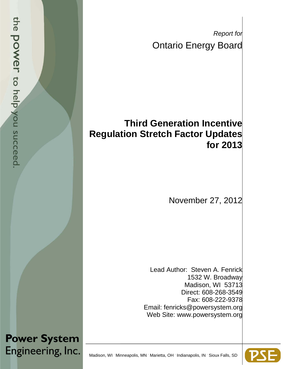*Report for* Ontario Energy Board

## **Third Generation Incentive Regulation Stretch Factor Updates for 2013**

November 27, 2012

Lead Author: Steven A. Fenrick 1532 W. Broadway Madison, WI 53713 Direct: 608-268-3549 Fax: 608-222-9378 Email: fenricks@powersystem.org Web Site: www.powersystem.org

**Power System** Engineering, Inc.

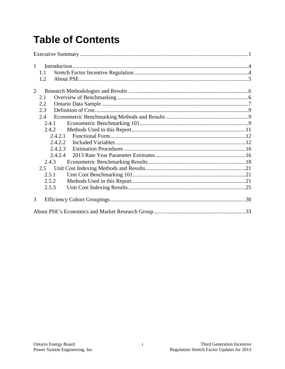# **Table of Contents**

| $\mathbf{1}$ |         |  |
|--------------|---------|--|
|              | 1.1     |  |
|              | 1.2     |  |
| 2            |         |  |
|              | 2.1     |  |
|              | 2.2     |  |
|              | 2.3     |  |
|              | 2.4     |  |
|              | 2.4.1   |  |
|              | 2.4.2   |  |
|              | 2.4.2.1 |  |
|              | 2.4.2.2 |  |
|              | 2.4.2.3 |  |
|              | 2.4.2.4 |  |
|              | 2.4.3   |  |
|              | 2.5     |  |
|              | 2.5.1   |  |
|              | 2.5.2   |  |
|              | 2.5.3   |  |
| 3            |         |  |
|              |         |  |
|              |         |  |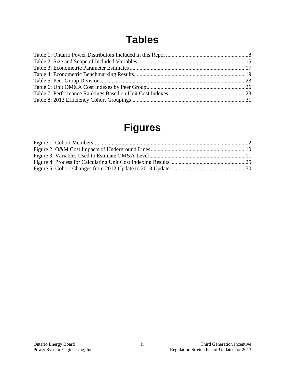## **Tables**

## **Figures**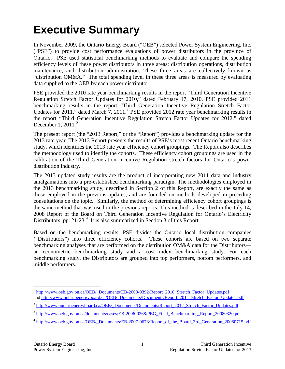# <span id="page-3-0"></span>**Executive Summary**

In November 2009, the Ontario Energy Board ("OEB") selected Power System Engineering, Inc. ("PSE") to provide cost performance evaluations of power distributors in the province of Ontario. PSE used statistical benchmarking methods to evaluate and compare the spending efficiency levels of these power distributors in three areas: distribution operations, distribution maintenance, and distribution administration. These three areas are collectively known as "distribution OM&A." The total spending level in these three areas is measured by evaluating data supplied to the OEB by each power distributor.

PSE provided the 2010 rate year benchmarking results in the report "Third Generation Incentive Regulation Stretch Factor Updates for 2010," dated February 17, 2010. PSE provided 2011 benchmarking results in the report "Third Generation Incentive Regulation Stretch Factor Updates for 20[1](#page-3-1)1," dated March 7, 2011.<sup>1</sup> PSE provided 2012 rate year benchmarking results in the report "Third Generation Incentive Regulation Stretch Factor Updates for 2012," dated December 1, [2](#page-3-2)011.<sup>2</sup>

The present report (the "2013 Report," or the "Report") provides a benchmarking update for the 2013 rate year. The 2013 Report presents the results of PSE's most recent Ontario benchmarking study, which identifies the 2013 rate year efficiency cohort groupings. The Report also describes the methodology used to identify the cohorts. These efficiency cohort groupings are used in the calibration of the Third Generation Incentive Regulation stretch factors for Ontario's power distribution industry.

The 2013 updated study results are the product of incorporating new 2011 data and industry amalgamations into a pre-established benchmarking paradigm. The methodologies employed in the 2013 benchmarking study, described in Section 2 of this Report, are exactly the same as those employed in the previous updates, and are founded on methods developed in preceding consultations on the topic.<sup>[3](#page-3-3)</sup> Similarly, the method of determining efficiency cohort groupings is the same method that was used in the previous reports. This method is described in the July 14, 2008 Report of the Board on Third Generation Incentive Regulation for Ontario's Electricity Distributors, pp. 21-23.<sup>[4](#page-3-4)</sup> It is also summarized in Section 3 of this Report.

Based on the benchmarking results, PSE divides the Ontario local distribution companies ("Distributors") into three efficiency cohorts. These cohorts are based on two separate benchmarking analyses that are performed on the distribution OM&A data for the Distributors an econometric benchmarking study and a cost index benchmarking study. For each benchmarking study, the Distributors are grouped into top performers, bottom performers, and middle performers.

<span id="page-3-1"></span><sup>&</sup>lt;sup>1</sup> [http://www.oeb.gov.on.ca/OEB/\\_Documents/EB-2009-0392/Report\\_2010\\_Stretch\\_Factor\\_Updates.pdf](http://www.oeb.gov.on.ca/OEB/_Documents/EB-2009-0392/Report_2010_Stretch_Factor_Updates.pdf) and [http://www.ontarioenergyboard.ca/OEB/\\_Documents/Documents/Report\\_2011\\_Stretch\\_Factor\\_Updates.pdf](http://www.ontarioenergyboard.ca/OEB/_Documents/Documents/Report_2011_Stretch_Factor_Updates.pdf)

<span id="page-3-2"></span><sup>&</sup>lt;sup>2</sup> [http://www.ontarioenergyboard.ca/OEB/\\_Documents/Documents/Report\\_2012\\_Stretch\\_Factor\\_Updates.pdf](http://www.ontarioenergyboard.ca/OEB/_Documents/Documents/Report_2012_Stretch_Factor_Updates.pdf)

<span id="page-3-3"></span><sup>&</sup>lt;sup>3</sup> [http://www.oeb.gov.on.ca/documents/cases/EB-2006-0268/PEG\\_Final\\_Benchmarking\\_Report\\_20080320.pdf](http://www.oeb.gov.on.ca/documents/cases/EB-2006-0268/PEG_Final_Benchmarking_Report_20080320.pdf)

<span id="page-3-4"></span><sup>&</sup>lt;sup>4</sup> [http://www.oeb.gov.on.ca/OEB/\\_Documents/EB-2007-0673/Report\\_of\\_the\\_Board\\_3rd\\_Generation\\_20080715.pdf](http://www.oeb.gov.on.ca/OEB/_Documents/EB-2007-0673/Report_of_the_Board_3rd_Generation_20080715.pdf)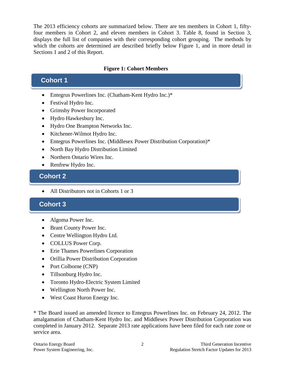The 2013 efficiency cohorts are summarized below. There are ten members in Cohort 1, fiftyfour members in Cohort 2, and eleven members in Cohort 3. [Table 8,](#page-33-0) found in Section 3, displays the full list of companies with their corresponding cohort grouping. The methods by which the cohorts are determined are described briefly below Figure 1, and in more detail in Sections 1 and 2 of this Report.

#### **Figure 1: Cohort Members**

#### **Cohort 1**

- Entegrus Powerlines Inc. (Chatham-Kent Hydro Inc.)\*
- Festival Hydro Inc.
- Grimsby Power Incorporated
- Hydro Hawkesbury Inc.
- Hydro One Brampton Networks Inc.
- Kitchener-Wilmot Hydro Inc.
- Entegrus Powerlines Inc. (Middlesex Power Distribution Corporation)\*
- North Bay Hydro Distribution Limited
- Northern Ontario Wires Inc.
- Renfrew Hydro Inc.

### **Cohort 2 Cohort 2**

• All Distributors not in Cohorts 1 or 3

#### **Cohort 3**

- Algoma Power Inc.
- Brant County Power Inc.
- Centre Wellington Hydro Ltd.
- COLLUS Power Corp.
- Erie Thames Powerlines Corporation
- Orillia Power Distribution Corporation
- Port Colborne (CNP)
- Tillsonburg Hydro Inc.
- Toronto Hydro-Electric System Limited
- Wellington North Power Inc.
- West Coast Huron Energy Inc.

\* The Board issued an amended licence to Entegrus Powerlines Inc. on February 24, 2012. The amalgamation of Chatham-Kent Hydro Inc. and Middlesex Power Distribution Corporation was completed in January 2012. Separate 2013 rate applications have been filed for each rate zone or service area.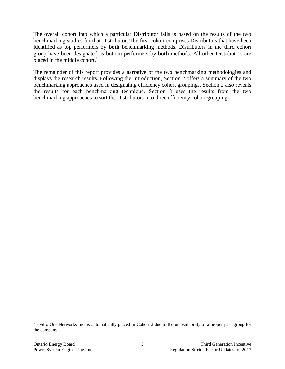The overall cohort into which a particular Distributor falls is based on the results of the two benchmarking studies for that Distributor. The first cohort comprises Distributors that have been identified as top performers by **both** benchmarking methods. Distributors in the third cohort group have been designated as bottom performers by **both** methods. All other Distributors are placed in the middle cohort. [5](#page-5-0)

The remainder of this report provides a narrative of the two benchmarking methodologies and displays the research results. Following the Introduction, Section 2 offers a summary of the two benchmarking approaches used in designating efficiency cohort groupings. Section 2 also reveals the results for each benchmarking technique. Section 3 uses the results from the two benchmarking approaches to sort the Distributors into three efficiency cohort groupings.

<span id="page-5-0"></span><sup>&</sup>lt;sup>5</sup> Hydro One Networks Inc. is automatically placed in Cohort 2 due to the unavailability of a proper peer group for the company.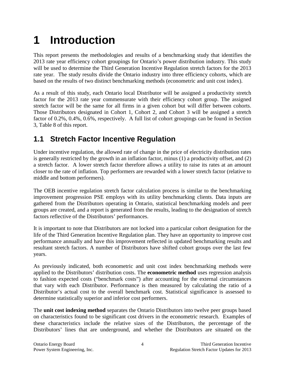# <span id="page-6-0"></span>**1 Introduction**

This report presents the methodologies and results of a benchmarking study that identifies the 2013 rate year efficiency cohort groupings for Ontario's power distribution industry. This study will be used to determine the Third Generation Incentive Regulation stretch factors for the 2013 rate year. The study results divide the Ontario industry into three efficiency cohorts, which are based on the results of two distinct benchmarking methods (econometric and unit cost index).

As a result of this study, each Ontario local Distributor will be assigned a productivity stretch factor for the 2013 rate year commensurate with their efficiency cohort group. The assigned stretch factor will be the same for all firms in a given cohort but will differ between cohorts. Those Distributors designated in Cohort 1, Cohort 2, and Cohort 3 will be assigned a stretch factor of 0.2%, 0.4%, 0.6%, respectively. A full list of cohort groupings can be found in Section 3, [Table 8](#page-33-0) of this report.

### <span id="page-6-1"></span>**1.1 Stretch Factor Incentive Regulation**

Under incentive regulation, the allowed rate of change in the price of electricity distribution rates is generally restricted by the growth in an inflation factor, minus  $(1)$  a productivity offset, and  $(2)$ a stretch factor. A lower stretch factor therefore allows a utility to raise its rates at an amount closer to the rate of inflation. Top performers are rewarded with a lower stretch factor (relative to middle and bottom performers).

The OEB incentive regulation stretch factor calculation process is similar to the benchmarking improvement progression PSE employs with its utility benchmarking clients. Data inputs are gathered from the Distributors operating in Ontario, statistical benchmarking models and peer groups are created, and a report is generated from the results, leading to the designation of stretch factors reflective of the Distributors' performances.

It is important to note that Distributors are not locked into a particular cohort designation for the life of the Third Generation Incentive Regulation plan. They have an opportunity to improve cost performance annually and have this improvement reflected in updated benchmarking results and resultant stretch factors. A number of Distributors have shifted cohort groups over the last few years.

As previously indicated, both econometric and unit cost index benchmarking methods were applied to the Distributors' distribution costs. The **econometric method** uses regression analysis to fashion expected costs ("benchmark costs") after accounting for the external circumstances that vary with each Distributor. Performance is then measured by calculating the ratio of a Distributor's actual cost to the overall benchmark cost. Statistical significance is assessed to determine statistically superior and inferior cost performers.

The **unit cost indexing method** separates the Ontario Distributors into twelve peer groups based on characteristics found to be significant cost drivers in the econometric research. Examples of these characteristics include the relative sizes of the Distributors, the percentage of the Distributors' lines that are underground, and whether the Distributors are situated on the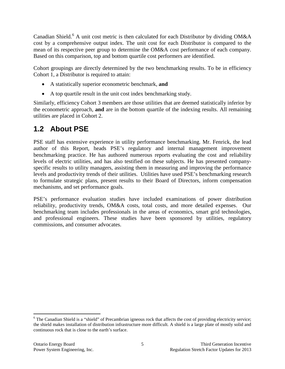Canadian Shield.<sup>[6](#page-7-1)</sup> A unit cost metric is then calculated for each Distributor by dividing OM&A cost by a comprehensive output index. The unit cost for each Distributor is compared to the mean of its respective peer group to determine the OM&A cost performance of each company. Based on this comparison, top and bottom quartile cost performers are identified.

Cohort groupings are directly determined by the two benchmarking results. To be in efficiency Cohort 1, a Distributor is required to attain:

- A statistically superior econometric benchmark, **and**
- A top quartile result in the unit cost index benchmarking study.

Similarly, efficiency Cohort 3 members are those utilities that are deemed statistically inferior by the econometric approach, **and** are in the bottom quartile of the indexing results. All remaining utilities are placed in Cohort 2.

### <span id="page-7-0"></span>**1.2 About PSE**

PSE staff has extensive experience in utility performance benchmarking. Mr. Fenrick, the lead author of this Report, heads PSE's regulatory and internal management improvement benchmarking practice. He has authored numerous reports evaluating the cost and reliability levels of electric utilities, and has also testified on these subjects. He has presented companyspecific results to utility managers, assisting them in measuring and improving the performance levels and productivity trends of their utilities. Utilities have used PSE's benchmarking research to formulate strategic plans, present results to their Board of Directors, inform compensation mechanisms, and set performance goals.

PSE's performance evaluation studies have included examinations of power distribution reliability, productivity trends, OM&A costs, total costs, and more detailed expenses. Our benchmarking team includes professionals in the areas of economics, smart grid technologies, and professional engineers. These studies have been sponsored by utilities, regulatory commissions, and consumer advocates.

<span id="page-7-1"></span><sup>&</sup>lt;sup>6</sup> The Canadian Shield is a "shield" of Precambrian igneous rock that affects the cost of providing electricity service; the shield makes installation of distribution infrastructure more difficult. A shield is a large plate of mostly solid and continuous rock that is close to the earth's surface.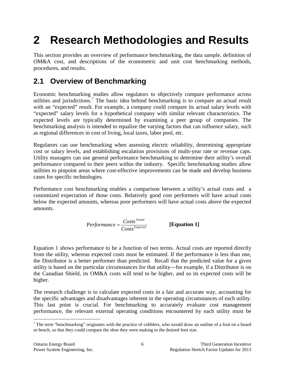# <span id="page-8-0"></span>**2 Research Methodologies and Results**

This section provides an overview of performance benchmarking, the data sample, definition of OM&A cost, and descriptions of the econometric and unit cost benchmarking methods, procedures, and results.

### <span id="page-8-1"></span>**2.1 Overview of Benchmarking**

Economic benchmarking studies allow regulators to objectively compare performance across utilities and jurisdictions.<sup>[7](#page-8-2)</sup> The basic idea behind benchmarking is to compare an actual result with an "expected" result. For example, a company could compare its actual salary levels with "expected" salary levels for a hypothetical company with similar relevant characteristics. The expected levels are typically determined by examining a peer group of companies. The benchmarking analysis is intended to equalize the varying factors that can influence salary, such as regional differences in cost of living, local taxes, labor pool, etc.

Regulators can use benchmarking when assessing electric reliability, determining appropriate cost or salary levels, and establishing escalation provisions of multi-year rate or revenue caps. Utility managers can use general performance benchmarking to determine their utility's overall performance compared to their peers within the industry. Specific benchmarking studies allow utilities to pinpoint areas where cost-effective improvements can be made and develop business cases for specific technologies.

Performance cost benchmarking enables a comparison between a utility's actual costs and a customized expectation of those costs. Relatively good cost performers will have actual costs below the expected amounts, whereas poor performers will have actual costs above the expected amounts.

$$
Performance = \frac{Costs^{Actual}}{Costs^{Expected}}
$$
 [Equation 1]

Equation 1 shows performance to be a function of two terms. Actual costs are reported directly from the utility, whereas expected costs must be estimated. If the performance is less than one, the Distributor is a better performer than predicted. Recall that the predicted value for a given utility is based on the particular circumstances for that utility—for example, if a Distributor is on the Canadian Shield, its OM&A costs will tend to be higher, and so its expected costs will be higher.

The research challenge is to calculate expected costs in a fair and accurate way, accounting for the specific advantages and disadvantages inherent in the operating circumstances of each utility. This last point is crucial. For benchmarking to accurately evaluate cost management performance, the relevant external operating conditions encountered by each utility must be

<span id="page-8-2"></span><sup>&</sup>lt;sup>7</sup> The term "benchmarking" originates with the practice of cobblers, who would draw an outline of a foot on a board or bench, so that they could compare the shoe they were making to the desired foot size.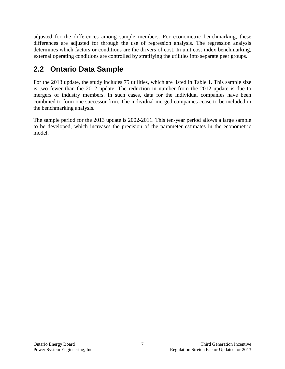adjusted for the differences among sample members. For econometric benchmarking, these differences are adjusted for through the use of regression analysis. The regression analysis determines which factors or conditions are the drivers of cost. In unit cost index benchmarking, external operating conditions are controlled by stratifying the utilities into separate peer groups.

### <span id="page-9-0"></span>**2.2 Ontario Data Sample**

For the 2013 update, the study includes 75 utilities, which are listed in Table 1. This sample size is two fewer than the 2012 update. The reduction in number from the 2012 update is due to mergers of industry members. In such cases, data for the individual companies have been combined to form one successor firm. The individual merged companies cease to be included in the benchmarking analysis.

The sample period for the 2013 update is 2002-2011. This ten-year period allows a large sample to be developed, which increases the precision of the parameter estimates in the econometric model.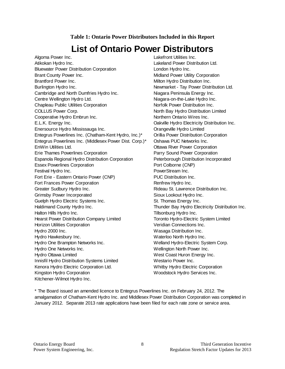#### **Table 1: Ontario Power Distributors Included in this Report**

## **List of Ontario Power Distributors**

<span id="page-10-0"></span>Algoma Power Inc. **Lakefront Utilities Inc.** Atikokan Hydro Inc. Lakeland Power Distribution Ltd. Bluewater Power Distribution Corporation **London Hydro Inc.** Brant County Power Inc. The County Power Inc. The County Power Utility Corporation Brantford Power Inc. **Example 20** Milton Hydro Distribution Inc. Burlington Hydro Inc. Newmarket - Tay Power Distribution Ltd. Cambridge and North Dumfries Hydro Inc. Niagara Peninsula Energy Inc. Centre Wellington Hydro Ltd. Night Niagara-on-the-Lake Hydro Inc. Chapleau Public Utilities Corporation Norfolk Power Distribution Inc. COLLUS Power Corp. The Collection of the North Bay Hydro Distribution Limited Cooperative Hydro Embrun Inc. Northern Ontario Wires Inc. E.L.K. Energy Inc. Oakville Hydro Electricity Distribution Inc. Enersource Hydro Mississauga Inc. Orangeville Hydro Limited Entegrus Powerlines Inc. (Chatham-Kent Hydro, Inc.)\* Orillia Power Distribution Corporation Entegrus Powerlines Inc. (Middlesex Power Dist. Corp.)\* Oshawa PUC Networks Inc. EnWin Utilities Ltd. Ottawa River Power Corporation Erie Thames Powerlines Corporation Parry Sound Power Corporation Espanola Regional Hydro Distribution Corporation Peterborough Distribution Incorporated Essex Powerlines Corporation **Port Colborne (CNP)** Port Colborne (CNP) Festival Hydro Inc. **PowerStream Inc.** PowerStream Inc. Fort Erie - Eastern Ontario Power (CNP) PUC Distribution Inc. Fort Frances Power Corporation **Rentrew Hydro Inc.** Greater Sudbury Hydro Inc. **Rideau St. Lawrence Distribution Inc.** Rideau St. Lawrence Distribution Inc. Grimsby Power Incorporated Sioux Lookout Hydro Inc. Guelph Hydro Electric Systems Inc. St. Thomas Energy Inc. Haldimand County Hydro Inc. Thunder Bay Hydro Electricity Distribution Inc. Halton Hills Hydro Inc. Tillsonburg Hydro Inc. Hearst Power Distribution Company Limited Toronto Hydro-Electric System Limited Horizon Utilities Corporation **Veridian Connections Inc.** Veridian Connections Inc. Hydro 2000 Inc. Wasaga Distribution Inc. Hydro Hawkesbury Inc. The Control of the Materia Waterloo North Hydro Inc. Hydro One Brampton Networks Inc. Welland Hydro-Electric System Corp. Hydro One Networks Inc. Wellington North Power Inc. Hydro Ottawa Limited **West Coast Huron Energy Inc.** Innisfil Hydro Distribution Systems Limited Westario Power Inc. Kenora Hydro Electric Corporation Ltd. <br>
Whitby Hydro Electric Corporation Kingston Hydro Corporation **Woodstock Hydro Services Inc.** Woodstock Hydro Services Inc. Kitchener-Wilmot Hydro Inc.

\* The Board issued an amended licence to Entegrus Powerlines Inc. on February 24, 2012. The amalgamation of Chatham-Kent Hydro Inc. and Middlesex Power Distribution Corporation was completed in January 2012. Separate 2013 rate applications have been filed for each rate zone or service area.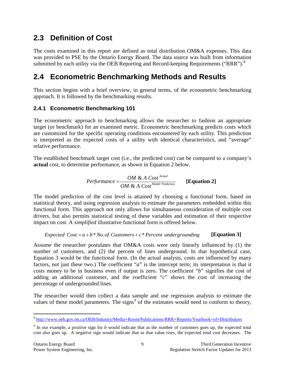### <span id="page-11-0"></span>**2.3 Definition of Cost**

The costs examined in this report are defined as total distribution OM&A expenses. This data was provided to PSE by the Ontario Energy Board. The data source was built from information submitted by each utility via the OEB Reporting and Record-keeping Requirements ("RRR"). $8$ 

### <span id="page-11-1"></span>**2.4 Econometric Benchmarking Methods and Results**

This section begins with a brief overview, in general terms, of the econometric benchmarking approach. It is followed by the benchmarking results.

#### <span id="page-11-2"></span>**2.4.1 Econometric Benchmarking 101**

The econometric approach to benchmarking allows the researcher to fashion an appropriate target (or benchmark) for an examined metric. Econometric benchmarking predicts costs which are customized for the specific operating conditions encountered by each utility. This prediction is interpreted as the expected costs of a utility with identical characteristics, and "average" relative performance.

The established benchmark target cost (i.e., the predicted cost) can be compared to a company's **actual** cost, to determine performance, as shown in Equation 2 below.

*Performance* = 
$$
\frac{OM & A \text{ Cost}^{Actual}}{OM & A \text{ Cost}^{Model \text{ Prediction}}}
$$
 [Equation 2]

The model prediction of the cost level is attained by choosing a functional form, based on statistical theory, and using regression analysis to estimate the parameters embedded within this functional form. This approach not only allows for simultaneous consideration of multiple cost drivers, but also permits statistical testing of these variables and estimation of their respective impact on cost. A *simplified* illustrative functional form is offered below.

#### *Expected*  $Cost = a + b * No. of Customers + c * Percent underlying [Equation 3]$

Assume the researcher postulates that OM&A costs were only linearly influenced by (1) the number of customers, and (2) the percent of lines underground. In that hypothetical case, Equation 3 would be the functional form. (In the actual analysis, costs are influenced by many factors, not just these two.) The coefficient "*a*" is the intercept term; its interpretation is that it costs money to be in business even if output is zero. The coefficient "*b*" signifies the cost of adding an additional customer, and the coefficient "*c*" shows the cost of increasing the percentage of undergrounded lines.

The researcher would then collect a data sample and use regression analysis to estimate the values of these model parameters. The signs $9$  of the estimates would need to conform to theory,

<span id="page-11-3"></span> <sup>8</sup> <http://www.oeb.gov.on.ca/OEB/Industry/Media+Room/Publications/RRR+Reports/Yearbook+of+Distributors>

<span id="page-11-4"></span><sup>9</sup> In our example, a positive sign for *b* would indicate that as the number of customers goes up, the expected total cost also goes up. A negative sign would indicate that as that value rises, the expected total cost decreases. The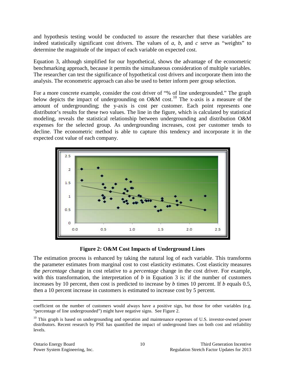and hypothesis testing would be conducted to assure the researcher that these variables are indeed statistically significant cost drivers. The values of *a*, *b*, and *c* serve as "weights" to determine the magnitude of the impact of each variable on expected cost.

Equation 3, although simplified for our hypothetical, shows the advantage of the econometric benchmarking approach, because it permits the simultaneous consideration of multiple variables. The researcher can test the significance of hypothetical cost drivers and incorporate them into the analysis. The econometric approach can also be used to better inform peer group selection.

For a more concrete example, consider the cost driver of "% of line undergrounded." The graph below depicts the impact of undergrounding on O&M cost.<sup>[10](#page-12-1)</sup> The x-axis is a measure of the amount of undergrounding; the y-axis is cost per customer. Each point represents one distributor's results for these two values. The line in the figure, which is calculated by statistical modeling, reveals the statistical relationship between undergrounding and distribution O&M expenses for the selected group. As undergrounding increases, cost per customer tends to decline. The econometric method is able to capture this tendency and incorporate it in the expected cost value of each company.





<span id="page-12-0"></span>The estimation process is enhanced by taking the natural log of each variable. This transforms the parameter estimates from marginal cost to cost elasticity estimates. Cost elasticity measures the *percentage* change in cost relative to a *percentage* change in the cost driver. For example, with this transformation, the interpretation of  $b$  in Equation 3 is: if the number of customers increases by 10 percent, then cost is predicted to increase by *b* times 10 percent. If *b* equals 0.5, then a 10 percent increase in customers is estimated to increase cost by 5 percent.

 $\overline{a}$ 

coefficient on the number of customers would always have a positive sign, but those for other variables (e.g. "percentage of line undergrounded") might have negative signs. See [Figure 2.](#page-12-0)

<span id="page-12-1"></span> $10$  This graph is based on undergrounding and operation and maintenance expenses of U.S. investor-owned power distributors. Recent research by PSE has quantified the impact of underground lines on both cost and reliability levels.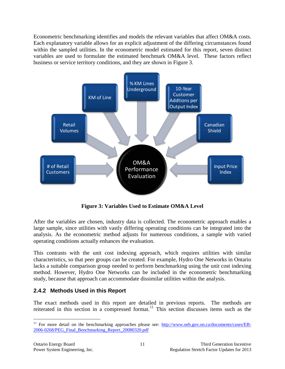Econometric benchmarking identifies and models the relevant variables that affect OM&A costs. Each explanatory variable allows for an explicit adjustment of the differing circumstances found within the sampled utilities. In the econometric model estimated for this report, seven distinct variables are used to formulate the estimated benchmark OM&A level. These factors reflect business or service territory conditions, and they are shown in Figure 3.



**Figure 3: Variables Used to Estimate OM&A Level**

<span id="page-13-1"></span>After the variables are chosen, industry data is collected. The econometric approach enables a large sample, since utilities with vastly differing operating conditions can be integrated into the analysis. As the econometric method adjusts for numerous conditions, a sample with varied operating conditions actually enhances the evaluation.

This contrasts with the unit cost indexing approach, which requires utilities with similar characteristics, so that peer groups can be created. For example, Hydro One Networks in Ontario lacks a suitable comparison group needed to perform benchmarking using the unit cost indexing method. However, Hydro One Networks can be included in the econometric benchmarking study, because that approach can accommodate dissimilar utilities within the analysis.

#### <span id="page-13-0"></span>**2.4.2 Methods Used in this Report**

The exact methods used in this report are detailed in previous reports. The methods are reiterated in this section in a compressed format.<sup>[11](#page-13-2)</sup> This section discusses items such as the

<span id="page-13-2"></span><sup>&</sup>lt;sup>11</sup> For more detail on the benchmarking approaches please see:  $\frac{http://www.oeb.gov.on.ca/documents/cases/EB-}{}$ [2006-0268/PEG\\_Final\\_Benchmarking\\_Report\\_20080320.pdf](http://www.oeb.gov.on.ca/documents/cases/EB-2006-0268/PEG_Final_Benchmarking_Report_20080320.pdf)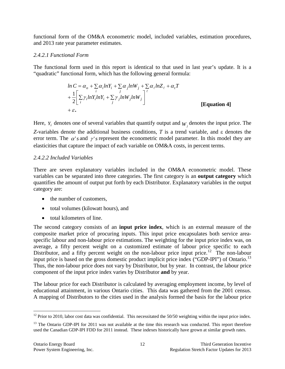functional form of the OM&A econometric model, included variables, estimation procedures, and 2013 rate year parameter estimates.

#### <span id="page-14-0"></span>*2.4.2.1 Functional Form*

The functional form used in this report is identical to that used in last year's update. It is a "quadratic" functional form, which has the following general formula:

$$
\ln C = \alpha_o + \sum_i \alpha_i \ln Y_i + \sum_j \alpha_j \ln W_j + \sum_k \alpha_\ell \ln Z_\ell + \alpha_i T
$$
  
+ 
$$
\frac{1}{2} \Bigg[ \sum_i \gamma_i \ln Y_i \ln Y_i + \sum_j \gamma_j \ln W_j \ln W_j \Bigg]^{\ell}
$$
  
+ 
$$
\epsilon.
$$
 [Equation 4]

Here,  $Y_i$  denotes one of several variables that quantify output and  $W_j$  denotes the input price. The *Z*-variables denote the additional business conditions, *T* is a trend variable, and ε denotes the error term. The  $\alpha$ 's and  $\gamma$ 's represent the econometric model parameter. In this model they are elasticities that capture the impact of each variable on OM&A costs, in percent terms.

#### <span id="page-14-1"></span>*2.4.2.2 Included Variables*

There are seven explanatory variables included in the OM&A econometric model. These variables can be separated into three categories. The first category is an **output category** which quantifies the amount of output put forth by each Distributor. Explanatory variables in the output category are:

- the number of customers,
- total volumes (kilowatt hours), and
- total kilometers of line.

The second category consists of an **input price index**, which is an external measure of the composite market price of procuring inputs. This input price encapsulates both service areaspecific labour and non-labour price estimations. The weighting for the input price index was, on average, a fifty percent weight on a customized estimate of labour price specific to each Distributor, and a fifty percent weight on the non-labour price input price.<sup>12</sup> The non-labour input price is based on the gross domestic product implicit price index ("GDP-IPI") of Ontario.<sup>[13](#page-14-3)</sup> Thus, the non-labour price does not vary by Distributor, but by year. In contrast, the labour price component of the input price index varies by Distributor **and** by year.

The labour price for each Distributor is calculated by averaging employment income, by level of educational attainment, in various Ontario cities. This data was gathered from the 2001 census. A mapping of Distributors to the cities used in the analysis formed the basis for the labour price

<span id="page-14-2"></span> $12$  Prior to 2010, labor cost data was confidential. This necessitated the 50/50 weighting within the input price index.

<span id="page-14-3"></span><sup>&</sup>lt;sup>13</sup> The Ontario GDP-IPI for 2011 was not available at the time this research was conducted. This report therefore used the Canadian GDP-IPI FDD for 2011 instead. These indexes historically have grown at similar growth rates.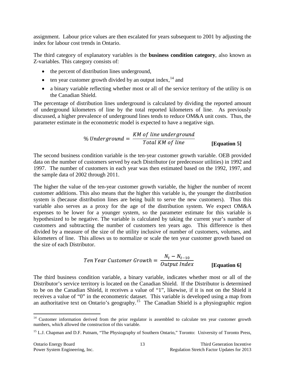assignment. Labour price values are then escalated for years subsequent to 2001 by adjusting the index for labour cost trends in Ontario.

The third category of explanatory variables is the **business condition category**, also known as Z-variables. This category consists of:

- the percent of distribution lines underground,
- ten year customer growth divided by an output index,  $^{14}$  $^{14}$  $^{14}$  and
- a binary variable reflecting whether most or all of the service territory of the utility is on the Canadian Shield.

The percentage of distribution lines underground is calculated by dividing the reported amount of underground kilometers of line by the total reported kilometers of line. As previously discussed, a higher prevalence of underground lines tends to reduce OM&A unit costs. Thus, the parameter estimate in the econometric model is expected to have a negative sign.

**[Equation 5]**

The second business condition variable is the ten-year customer growth variable. OEB provided data on the number of customers served by each Distributor (or predecessor utilities) in 1992 and 1997. The number of customers in each year was then estimated based on the 1992, 1997, and the sample data of 2002 through 2011.

The higher the value of the ten-year customer growth variable, the higher the number of recent customer additions. This also means that the higher this variable is, the younger the distribution system is (because distribution lines are being built to serve the new customers). Thus this variable also serves as a proxy for the age of the distribution system. We expect OM&A expenses to be lower for a younger system, so the parameter estimate for this variable is hypothesized to be negative. The variable is calculated by taking the current year's number of customers and subtracting the number of customers ten years ago. This difference is then divided by a measure of the size of the utility inclusive of number of customers, volumes, and kilometers of line. This allows us to normalize or scale the ten year customer growth based on the size of each Distributor.

*Ten Year Customer Growth* = 
$$
\frac{N_t - N_{t-10}}{Output \ Index}
$$
 [Equation 6]

The third business condition variable, a binary variable, indicates whether most or all of the Distributor's service territory is located on the Canadian Shield. If the Distributor is determined to be on the Canadian Shield, it receives a value of "1", likewise, if it is not on the Shield it receives a value of "0" in the econometric dataset. This variable is developed using a map from an authoritative text on Ontario's geography.<sup>15</sup> The Canadian Shield is a physiographic region

<span id="page-15-0"></span><sup>&</sup>lt;sup>14</sup> Customer information derived from the prior regulator is assembled to calculate ten year customer growth numbers, which allowed the construction of this variable.

<span id="page-15-1"></span><sup>&</sup>lt;sup>15</sup> L.J. Chapman and D.F. Putnam, "The Physiography of Southern Ontario," Toronto: University of Toronto Press,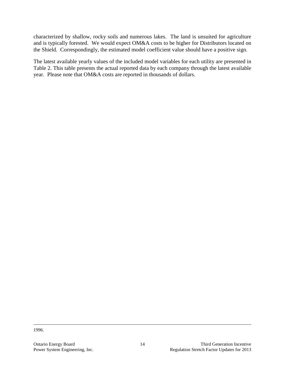characterized by shallow, rocky soils and numerous lakes. The land is unsuited for agriculture and is typically forested. We would expect OM&A costs to be higher for Distributors located on the Shield. Correspondingly, the estimated model coefficient value should have a positive sign.

The latest available yearly values of the included model variables for each utility are presented in [Table 2.](#page-17-0) This table presents the actual reported data by each company through the latest available year. Please note that OM&A costs are reported in thousands of dollars.

1996.

 $\overline{a}$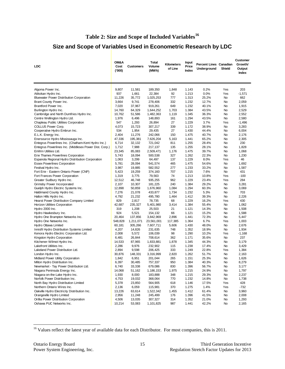#### **Table 2: Size and Scope of Included Variables[16](#page-17-1)**

### <span id="page-17-0"></span>**Size and Scope of Variables Used in Econometric Research by LDC**

| <b>LDC</b>                                                                              | OM&A<br>Cost<br>(000) | <b>Customers</b> | Total<br>Volume<br>(MWh) | <b>Input</b><br><b>Kilometers</b><br>Percent Lines Canadian<br>Price<br><b>Underground</b><br>Shield<br>of Line<br>Index |                | Customer<br>Growth/<br>Output<br>Index |          |                |
|-----------------------------------------------------------------------------------------|-----------------------|------------------|--------------------------|--------------------------------------------------------------------------------------------------------------------------|----------------|----------------------------------------|----------|----------------|
| Algoma Power Inc.                                                                       | 9,807                 | 11,581           | 189,350                  | 1,848                                                                                                                    | 1.143          | 0.2%                                   | Yes      | 203            |
| Atikokan Hydro Inc.                                                                     | 937                   | 1,661            | 22,384                   | 92                                                                                                                       | 1.213          | 0.0%                                   | Yes      | $-1,571$       |
| <b>Bluewater Power Distribution Corporation</b>                                         | 11,226                | 35,772           | 1,025,253                | 777                                                                                                                      | 1.313          | 25.2%                                  | No       | 662            |
| Brant County Power Inc.                                                                 | 3,664                 | 9,741            | 278,406                  | 332                                                                                                                      | 1.232          | 12.7%                                  | No       | 2,059          |
| Brantford Power Inc.                                                                    | 7,020                 | 37,967           | 919,261                  | 649                                                                                                                      | 1.232          | 40.1%                                  | No       | 1,915          |
| Burlington Hydro Inc.                                                                   | 14,760                | 64,329           | 1,644,252                | 1,703                                                                                                                    | 1.384          | 43.5%                                  | No       | 2,529          |
| Cambridge and North Dumfries Hydro Inc.                                                 | 10,762                | 51,586           | 1,482,363                | 1,119                                                                                                                    | 1.345          | 36.3%                                  | No       | 2,552          |
| Centre Wellington Hydro Ltd.                                                            | 1,976                 | 6,496            | 148,893                  | 161                                                                                                                      | 1.294          | 43.5%                                  | No       | 2,580          |
| Chapleau Public Utilities Corporation                                                   | 547                   | 1,293            | 26,894                   | 27                                                                                                                       | 1.229          | 3.7%                                   | Yes      | $-1,496$       |
| COLLUS Power Corp.                                                                      | 4,073                 | 15,723           | 307,217                  | 339                                                                                                                      | 1.172          | 38.9%                                  | No       | 3,283          |
| Cooperative Hydro Embrun Inc.                                                           | 534                   | 1,954            | 29,435                   | 27                                                                                                                       | 1.430          | 44.4%                                  | No       | 6,004          |
| E.L.K. Energy Inc.                                                                      | 2,404                 | 11,276           | 242,066                  | 150                                                                                                                      | 1.475          | 40.7%                                  | No       | 2,176          |
| Enersource Hydro Mississauga Inc.                                                       | 47,336                | 195,381          | 7,626,204                | 5,163                                                                                                                    | 1.441          | 65.2%                                  | No       | 2,305          |
| Entegrus Powerlines Inc. (Chatham-Kent Hydro Inc.)                                      | 6,714                 | 32,132           | 721,042                  | 811                                                                                                                      | 1.255          | 28.4%                                  | No       | 230            |
| Entegrus Powerlines Inc. (Middlesex Power Dist. Corp.)                                  | 1,712                 | 7,988            | 217,137                  | 135                                                                                                                      | 1.255          | 28.1%                                  | No       | 1,828          |
| EnWin Utilities Ltd.                                                                    | 23,345                | 85,083           | 2,509,471                | 1,176                                                                                                                    | 1.475          | 39.7%                                  | No       | 1,068          |
| Erie Thames Powerlines Corporation                                                      | 5,743                 | 18,094           | 500,538                  | 327                                                                                                                      | 1.262          | 22.3%                                  | No       | 1,230          |
| Espanola Regional Hydro Distribution Corporation<br><b>Essex Powerlines Corporation</b> | 1,063                 | 3,299            | 64,497                   | 137<br>465                                                                                                               | 1.229<br>1.475 | 8.0%<br>54.6%                          | Yes      | 46             |
| Festival Hydro Inc.                                                                     | 5,781<br>3,987        | 28,094<br>19,885 | 541,574<br>582,552       | 277                                                                                                                      | 1.233          | 33.2%                                  | No<br>No | 1,692<br>1,587 |
| Fort Erie - Eastern Ontario Power (CNP)                                                 | 5,423                 | 19,259           | 374,160                  | 707                                                                                                                      | 1.215          | 7.6%                                   | No       | 431            |
| Fort Frances Power Corporation                                                          | 1,319                 | 3,775            | 79,563                   | 74                                                                                                                       | 1.213          | 10.8%                                  | Yes      | $-100$         |
| Greater Sudbury Hydro Inc.                                                              | 12,512                | 46,748           | 935,255                  | 962                                                                                                                      | 1.229          | 23.4%                                  | Yes      | 284            |
| Grimsby Power Incorporated                                                              | 2,107                 | 10,307           | 181,225                  | 240                                                                                                                      | 1.384          | 29.2%                                  | No       | 3,281          |
| Guelph Hydro Electric Systems Inc.                                                      | 12,898                | 50,859           | 1,676,960                | 1,084                                                                                                                    | 1.294          | 60.3%                                  | No       | 3,069          |
| Haldimand County Hydro Inc.                                                             | 7,276                 | 21,078           | 433,877                  | 1,734                                                                                                                    | 1.232          | 5.3%                                   | No       | 703            |
| Halton Hills Hydro Inc.                                                                 | 4,792                 | 21,232           | 495,780                  | 1,464                                                                                                                    | 1.412          | 39.3%                                  | No       | 2,226          |
| Hearst Power Distribution Company Limited                                               | 829                   | 2,817            | 78,735                   | 68                                                                                                                       | 1.229          | 16.2%                                  | Yes      | 430            |
| Horizon Utilities Corporation                                                           | 42,687                | 235,327          | 5,401,980                | 3,414                                                                                                                    | 1.384          | 55.4%                                  | No       | 1,062          |
| Hydro 2000 Inc.                                                                         | 319                   | 1,208            | 25,503                   | 21                                                                                                                       | 1.121          | 14.3%                                  | No       | 1,508          |
| Hydro Hawkesbury Inc.                                                                   | 924                   | 5,521            | 154,132                  | 66                                                                                                                       | 1.121          | 15.2%                                  | No       | 1,588          |
| Hydro One Brampton Networks Inc.                                                        | 20,464                | 137,856          | 3,842,969                | 2,896                                                                                                                    | 1.441          | 72.3%                                  | No       | 5,447          |
| Hydro One Networks Inc.                                                                 | 548,828               | 1,211,071        | 23,561,001               | 117,385                                                                                                                  | 1.364          | 6.7%                                   | Yes      | 1,003          |
| Hydro Ottawa Limited                                                                    | 60,181                | 305,266          | 7,607,711                | 5,606                                                                                                                    | 1.430          | 48.0%                                  | No       | 2,676          |
| Innisfil Hydro Distribution Systems Limited                                             | 4,207                 | 14,826           | 231,635                  | 748                                                                                                                      | 1.352          | 18.9%                                  | No       | 1,934          |
| Kenora Hydro Electric Corporation Ltd.                                                  | 2,008                 | 5,572            | 106,039                  | 98                                                                                                                       | 1.290          | 10.2%                                  | Yes      | $-1,168$       |
| Kingston Hydro Corporation                                                              | 6,481                 | 26,844           | 708,614                  | 362                                                                                                                      | 1.171          | 35.6%                                  | No       | 237            |
| Kitchener-Wilmot Hydro Inc.                                                             | 14,533                | 87,965           | 1,833,881                | 1,878                                                                                                                    | 1.345          | 44.3%                                  | No       | 3,179          |
| Lakefront Utilities Inc.                                                                | 2,286                 | 9,976            | 232,902                  | 115                                                                                                                      | 1.238          | 17.4%                                  | No       | 3,429          |
| Lakeland Power Distribution Ltd.                                                        | 2,894                 | 9,598            | 206,425                  | 333                                                                                                                      | 1.249          | 22.8%                                  | Yes      | 1,384          |
| London Hydro Inc.                                                                       | 30,876                | 148,331          | 3,316,999                | 2,820<br>265                                                                                                             | 1.262<br>1.151 | 51.7%<br>25.3%                         | No       | 2,163          |
| Midland Power Utility Corporation<br>Milton Hydro Distribution Inc.                     | 1,842<br>6,397        | 6,951<br>30,485  | 201,044<br>757,337       | 950                                                                                                                      | 1.384          | 40.3%                                  | No<br>No | 1,626<br>8,279 |
| Newmarket - Tay Power Distribution Ltd.                                                 | 6,740                 | 33,338           | 679,086                  | 830                                                                                                                      | 1.396          | 56.7%                                  | No       | 3,177          |
| Niagara Peninsula Energy Inc.                                                           | 14,068                | 51,162           | 1,186,153                | 1,975                                                                                                                    | 1.215          | 24.9%                                  | No       | 1,797          |
| Niagara-on-the-Lake Hydro Inc.                                                          | 1,930                 | 8,000            | 183,888                  | 348                                                                                                                      | 1.215          | 29.3%                                  | No       | 2,237          |
| Norfolk Power Distribution Inc.                                                         | 4,753                 | 19,032           | 368,064                  | 770                                                                                                                      | 1.232          | 14.8%                                  | No       | 1,738          |
| North Bay Hydro Distribution Limited                                                    | 5,378                 | 23,850           | 564,905                  | 618                                                                                                                      | 1.146          | 17.5%                                  | Yes      | 428            |
| Northern Ontario Wires Inc.                                                             | 2,136                 | 6,059            | 115,981                  | 370                                                                                                                      | 1.275          | 1.4%                                   | Yes      | $-732$         |
| Oakville Hydro Electricity Distribution Inc.                                            | 13,226                | 63,614           | 1,522,342                | 1,455                                                                                                                    | 1.412          | 61.4%                                  | No       | 3,960          |
| Orangeville Hydro Limited                                                               | 2,956                 | 11,248           | 245,499                  | 176                                                                                                                      | 1.396          | 41.5%                                  | No       | 2,008          |
| Orillia Power Distribution Corporation                                                  | 4,506                 | 13,035           | 307,327                  | 314                                                                                                                      | 1.352          | 21.0%                                  | No       | 1,293          |
| Oshawa PUC Networks Inc.                                                                | 10,214                | 53,083           | 1,101,825                | 987                                                                                                                      | 1.441          | 42.2%                                  | No       | 2,165          |

<span id="page-17-1"></span><sup>&</sup>lt;sup>16</sup> Values reflect the latest year of available data for each Distributor. For most companies, this is 2011.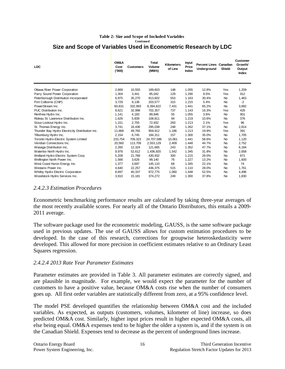#### **Size and Scope of Variables Used in Econometric Research by LDC Table 2: Size and Scope of Included Variables Continued**

| <b>LDC</b>                                      | OM&A<br>Cost<br>(000)' | <b>Customers</b> | Total<br>Volume<br>(MWh) | <b>Kilometers</b><br>of Line | Input<br>Price<br>Index | <b>Percent Lines Canadian</b><br>Underground | <b>Shield</b> | Customer<br>Growth/<br>Output<br><b>Index</b> |
|-------------------------------------------------|------------------------|------------------|--------------------------|------------------------------|-------------------------|----------------------------------------------|---------------|-----------------------------------------------|
| Ottawa River Power Corporation                  | 2,669                  | 10,555           | 189,603                  | 148                          | 1.055                   | 12.8%                                        | Yes           | 1,209                                         |
| Parry Sound Power Corporation                   | 1,304                  | 3,441            | 85,042                   | 129                          | 1.290                   | 8.5%                                         | Yes           | 912                                           |
| Peterborough Distribution Incorporated          | 6,975                  | 35,270           | 813,602                  | 553                          | 1.163                   | 30.4%                                        | <b>No</b>     | 1,463                                         |
| Port Colborne (CNP)                             | 3.729                  | 9,138            | 203,577                  | 315                          | 1.215                   | 5.4%                                         | <b>No</b>     | $-2$                                          |
| PowerStream Inc.                                | 60.831                 | 332.993          | 8,394,822                | 7,431                        | 1.441                   | 65.2%                                        | <b>No</b>     | 3,892                                         |
| PUC Distribution Inc.                           | 8,621                  | 32,998           | 702,357                  | 737                          | 1.143                   | 16.3%                                        | Yes           | 426                                           |
| Renfrew Hydro Inc.                              | 1.141                  | 4,183            | 89,846                   | 55                           | 1.055                   | 3.6%                                         | <b>No</b>     | 901                                           |
| Rideau St. Lawrence Distribution Inc.           | 1,626                  | 5,839            | 108,811                  | 94                           | 1.219                   | 10.6%                                        | <b>No</b>     | 376                                           |
| Sioux Lookout Hydro Inc.                        | 1,151                  | 2,755            | 72,932                   | 283                          | 1.213                   | 2.1%                                         | Yes           | 96                                            |
| St. Thomas Energy Inc.                          | 3.741                  | 16,436           | 295,038                  | 248                          | 1.262                   | 37.1%                                        | <b>No</b>     | 2,814                                         |
| Thunder Bay Hydro Electricity Distribution Inc. | 11.868                 | 49.765           | 959,912                  | 1,186                        | 1.213                   | 19.9%                                        | Yes           | 391                                           |
| Tillsonburg Hydro Inc.                          | 2,154                  | 6.745            | 184,311                  | 157                          | 1.300                   | 35.0%                                        | <b>No</b>     | 1,705                                         |
| Toronto Hydro-Electric System Limited           | 233,754                | 709,323          | 24,707,586               | 10.061                       | 1.441                   | 58.6%                                        | No            | 1,120                                         |
| Veridian Connections Inc.                       | 20,560                 | 113,709          | 2,553,129                | 2,409                        | 1.448                   | 44.7%                                        | <b>No</b>     | 2,752                                         |
| Wasaga Distribution Inc.                        | 2,260                  | 12,324           | 121,665                  | 243                          | 1.352                   | 47.7%                                        | No            | 6,184                                         |
| Waterloo North Hydro Inc.                       | 9,976                  | 52,612           | 1,436,920                | 1,542                        | 1.345                   | 31.8%                                        | <b>No</b>     | 2,658                                         |
| Welland Hydro-Electric System Corp.             | 5,209                  | 21,768           | 430,932                  | 300                          | 1.215                   | 29.0%                                        | <b>No</b>     | 871                                           |
| Wellington North Power Inc.                     | 1,566                  | 3,626            | 99,140                   | 76                           | 1.227                   | 13.2%                                        | No            | 1,600                                         |
| West Coast Huron Energy Inc.                    | 1,377                  | 3,697            | 145,110                  | 68                           | 1.345                   | 22.1%                                        | No            | 74                                            |
| Westario Power Inc.                             | 4,640                  | 22,257           | 436,375                  | 515                          | 1.110                   | 28.0%                                        | No            | 1,761                                         |
| Whitby Hydro Electric Corporation               | 8,697                  | 40,337           | 872,775                  | 1,060                        | 1.448                   | 52.5%                                        | No            | 4,496                                         |
| Woodstock Hydro Services Inc.                   | 3,910                  | 15,181           | 374,272                  | 249                          | 1.300                   | 37.8%                                        | No            | 1,830                                         |

#### <span id="page-18-0"></span>*2.4.2.3 Estimation Procedures*

Econometric benchmarking performance results are calculated by taking three-year averages of the most recently available scores. For nearly all of the Ontario Distributors, this entails a 2009- 2011 average.

The software package used for the econometric modeling, GAUSS, is the same software package used in previous updates. The use of GAUSS allows for custom estimation procedures to be developed. In the case of this research, corrections for groupwise heteroskedasticity were developed. This allowed for more precision in coefficient estimates relative to an Ordinary Least Squares regression.

#### <span id="page-18-1"></span>*2.4.2.4 2013 Rate Year Parameter Estimates*

Parameter estimates are provided in [Table 3.](#page-19-0) All parameter estimates are correctly signed, and are plausible in magnitude. For example, we would expect the parameter for the number of customers to have a positive value, because OM&A costs rise when the number of consumers goes up. All first order variables are statistically different from zero, at a 95% confidence level.

The model PSE developed quantifies the relationship between OM&A cost and the included variables. As expected, as outputs (customers, volumes, kilometer of line) increase, so does predicted OM&A cost. Similarly, higher input prices result in higher expected OM&A costs, all else being equal. OM&A expenses tend to be higher the older a system is, and if the system is on the Canadian Shield. Expenses tend to decrease as the percent of underground lines increase.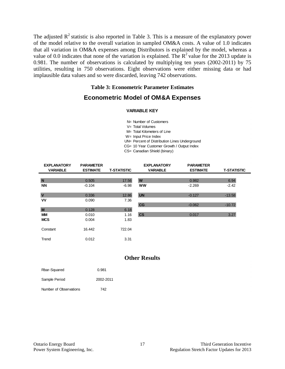The adjusted  $R^2$  statistic is also reported in [Table 3.](#page-19-0) This is a measure of the explanatory power of the model relative to the overall variation in sampled OM&A costs. A value of 1.0 indicates that all variation in OM&A expenses among Distributors is explained by the model, whereas a value of 0.0 indicates that none of the variation is explained. The  $R^2$  value for the 2013 update is 0.981. The number of observations is calculated by multiplying ten years (2002-2011) by 75 utilities, resulting in 750 observations. Eight observations were either missing data or had implausible data values and so were discarded, leaving 742 observations.

#### **Table 3: Econometric Parameter Estimates**

#### <span id="page-19-0"></span>**Econometric Model of OM&A Expenses**

#### **VARIABLE KEY**

- N= Number of Customers
- V= Total Volumes
- M= Total Kilometers of Line
- W= Input Price Index
- UN= Percent of Distribution Lines Underground
- CG= 10 Year Customer Growth / Output Index
- CS= Canadian Shield (binary)

| <b>EXPLANATORY</b><br><b>VARIABLE</b> | <b>PARAMETER</b><br><b>ESTIMATE</b> | <b>T-STATISTIC</b> | <b>EXPLANATORY</b><br><b>VARIABLE</b> | <b>PARAMETER</b><br><b>ESTIMATE</b> | <b>T-STATISTIC</b> |
|---------------------------------------|-------------------------------------|--------------------|---------------------------------------|-------------------------------------|--------------------|
|                                       |                                     |                    |                                       |                                     |                    |
| N                                     | 0.505                               | 17.56              | W                                     | 0.982                               | 6.94               |
| <b>NN</b>                             | $-0.104$                            | $-6.98$            | <b>WW</b>                             | $-2.269$                            | $-2.42$            |
|                                       |                                     |                    |                                       |                                     |                    |
| $\overline{\mathsf{v}}$               | 0.336                               | 12.86              | <b>UN</b>                             | $-0.127$                            | $-13.58$           |
| <b>VV</b>                             | 0.090                               | 7.36               |                                       |                                     |                    |
|                                       |                                     |                    | CG                                    | $-0.062$                            | $-10.72$           |
| M                                     | 0.128                               | 6.18               |                                       |                                     |                    |
| MМ                                    | 0.010                               | 1.16               | $\mathbf{c}\mathbf{s}$                | 0.017                               | 3.27               |
| <b>MCS</b>                            | 0.004                               | 1.83               |                                       |                                     |                    |
|                                       |                                     |                    |                                       |                                     |                    |
| Constant                              | 16.442                              | 722.04             |                                       |                                     |                    |
|                                       |                                     |                    |                                       |                                     |                    |
| Trend                                 | 0.012                               | 3.31               |                                       |                                     |                    |

#### **Other Results**

| Rbar-Squared           | 0.981     |
|------------------------|-----------|
| Sample Period          | 2002-2011 |
| Number of Observations | 742       |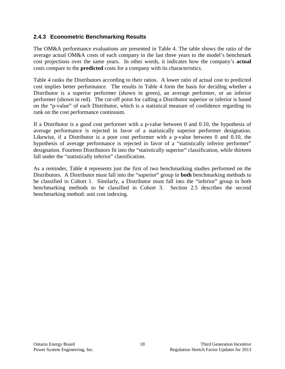#### <span id="page-20-0"></span>**2.4.3 Econometric Benchmarking Results**

The OM&A performance evaluations are presented in [Table 4.](#page-21-0) The table shows the ratio of the average actual OM&A costs of each company in the last three years to the model's benchmark cost projections over the same years. In other words, it indicates how the company's **actual** costs compare to the **predicted** costs for a company with its characteristics.

[Table 4](#page-21-0) ranks the Distributors according to their ratios. A lower ratio of actual cost to predicted cost implies better performance. The results in Table 4 form the basis for deciding whether a Distributor is a superior performer (shown in green), an average performer, or an inferior performer (shown in red). The cut-off point for calling a Distributor superior or inferior is based on the "p-value" of each Distributor, which is a statistical measure of confidence regarding its rank on the cost performance continuum.

If a Distributor is a good cost performer with a p-value between 0 and 0.10, the hypothesis of average performance is rejected in favor of a statistically superior performer designation. Likewise, if a Distributor is a poor cost performer with a p-value between 0 and 0.10, the hypothesis of average performance is rejected in favor of a "statistically inferior performer" designation. Fourteen Distributors fit into the "statistically superior" classification, while thirteen fall under the "statistically inferior" classification.

As a reminder, Table 4 represents just the first of two benchmarking studies performed on the Distributors. A Distributor must fall into the "superior" group in **both** benchmarking methods to be classified in Cohort 1. Similarly, a Distributor must fall into the "inferior" group in both benchmarking methods to be classified in Cohort 3. Section [2.5](#page-23-0) describes the second benchmarking method: unit cost indexing.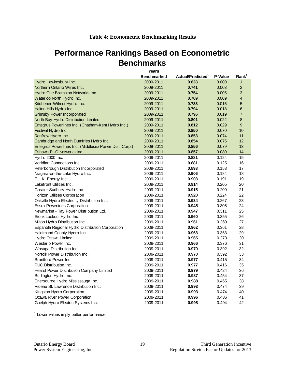### <span id="page-21-0"></span>**Performance Rankings Based on Econometric Benchmarks**

|                                                        | Years              |                               |         |                   |
|--------------------------------------------------------|--------------------|-------------------------------|---------|-------------------|
|                                                        | <b>Benchmarked</b> | Actual/Predicted <sup>1</sup> | P-Value | Rank <sup>1</sup> |
| Hydro Hawkesbury Inc.                                  | 2009-2011          | 0.628                         | 0.000   | $\mathbf{1}$      |
| Northern Ontario Wires Inc.                            | 2009-2011          | 0.741                         | 0.003   | $\overline{2}$    |
| Hydro One Brampton Networks Inc.                       | 2009-2011          | 0.754                         | 0.005   | 3                 |
| Waterloo North Hydro Inc.                              | 2009-2011          | 0.769                         | 0.009   | $\overline{4}$    |
| Kitchener-Wilmot Hydro Inc.                            | 2009-2011          | 0.788                         | 0.015   | 5                 |
| Halton Hills Hydro Inc.                                | 2009-2011          | 0.794                         | 0.018   | 6                 |
| <b>Grimsby Power Incorporated</b>                      | 2009-2011          | 0.796                         | 0.019   | $\overline{7}$    |
| North Bay Hydro Distribution Limited                   | 2009-2011          | 0.801                         | 0.022   | 8                 |
| Entegrus Powerlines Inc. (Chatham-Kent Hydro Inc.)     | 2009-2011          | 0.812                         | 0.029   | 9                 |
| Festival Hydro Inc.                                    | 2009-2011          | 0.850                         | 0.070   | 10                |
| Renfrew Hydro Inc.                                     | 2009-2011          | 0.853                         | 0.074   | 11                |
| Cambridge and North Dumfries Hydro Inc.                | 2009-2011          | 0.854                         | 0.075   | 12                |
| Entegrus Powerlines Inc. (Middlesex Power Dist. Corp.) | 2009-2011          | 0.856                         | 0.079   | 13                |
| Oshawa PUC Networks Inc.                               | 2009-2011          | 0.857                         | 0.080   | 14                |
| Hydro 2000 Inc.                                        | 2009-2011          | 0.881                         | 0.124   | 15                |
| Veridian Connections Inc.                              | 2009-2011          | 0.881                         | 0.125   | 16                |
| Peterborough Distribution Incorporated                 | 2009-2011          | 0.893                         | 0.153   | 17                |
| Niagara-on-the-Lake Hydro Inc.                         | 2009-2011          | 0.906                         | 0.184   | 18                |
| E.L.K. Energy Inc.                                     | 2009-2011          | 0.908                         | 0.191   | 19                |
| Lakefront Utilities Inc.                               | 2009-2011          | 0.914                         | 0.205   | 20                |
| Greater Sudbury Hydro Inc.                             | 2009-2011          | 0.915                         | 0.209   | 21                |
| Horizon Utilities Corporation                          | 2009-2011          | 0.920                         | 0.224   | 22                |
| Oakville Hydro Electricity Distribution Inc.           | 2009-2011          | 0.934                         | 0.267   | 23                |
| <b>Essex Powerlines Corporation</b>                    | 2009-2011          | 0.945                         | 0.305   | 24                |
| Newmarket - Tay Power Distribution Ltd.                | 2009-2011          | 0.947                         | 0.311   | 25                |
| Sioux Lookout Hydro Inc.                               | 2009-2011          | 0.960                         | 0.355   | 26                |
| Milton Hydro Distribution Inc.                         | 2009-2011          | 0.961                         | 0.360   | 27                |
| Espanola Regional Hydro Distribution Corporation       | 2009-2011          | 0.962                         | 0.361   | 28                |
| Haldimand County Hydro Inc.                            | 2009-2011          | 0.963                         | 0.363   | 29                |
| Hydro Ottawa Limited                                   | 2009-2011          | 0.965                         | 0.373   | 30                |
| Westario Power Inc.                                    | 2009-2011          | 0.966                         | 0.376   | 31                |
| Wasaga Distribution Inc.                               | 2009-2011          | 0.970                         | 0.392   | 32                |
| Norfolk Power Distribution Inc.                        | 2009-2011          | 0.970                         | 0.392   | 33                |
| Brantford Power Inc.                                   | 2009-2011          | 0.977                         | 0.415   | 34                |
| PUC Distribution Inc.                                  | 2009-2011          | 0.977                         | 0.416   | 35                |
| <b>Hearst Power Distribution Company Limited</b>       | 2009-2011          | 0.979                         | 0.424   | 36                |
| Burlington Hydro Inc.                                  | 2009-2011          | 0.987                         | 0.454   | 37                |
| Enersource Hydro Mississauga Inc.                      | 2009-2011          | 0.988                         | 0.455   | 38                |
| Rideau St. Lawrence Distribution Inc.                  | 2009-2011          | 0.993                         | 0.474   | 39                |
| Kingston Hydro Corporation                             | 2009-2011          | 0.993                         | 0.474   | 40                |
| Ottawa River Power Corporation                         | 2009-2011          | 0.996                         | 0.486   | 41                |
| Guelph Hydro Electric Systems Inc.                     | 2009-2011          | 0.998                         | 0.494   | 42                |

<sup>1</sup> Lower values imply better performance.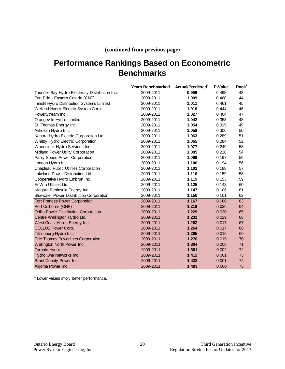#### **(continued from previous page)**

### **Performance Rankings Based on Econometric Benchmarks**

|                                                 | <b>Years Benchmarked</b> | Actual/Predicted <sup>1</sup> | P-Value | Rank <sup>1</sup> |
|-------------------------------------------------|--------------------------|-------------------------------|---------|-------------------|
| Thunder Bay Hydro Electricity Distribution Inc. | 2009-2011                | 0.999                         | 0.498   | 43                |
| Fort Erie - Eastern Ontario (CNP)               | 2009-2011                | 1.009                         | 0.468   | 44                |
| Innisfil Hydro Distribution Systems Limited     | 2009-2011                | 1.011                         | 0.461   | 45                |
| Welland Hydro-Electric System Corp.             | 2009-2011                | 1.016                         | 0.444   | 46                |
| PowerStream Inc.                                | 2009-2011                | 1.027                         | 0.404   | 47                |
| Orangeville Hydro Limited                       | 2009-2011                | 1.042                         | 0.353   | 48                |
| St. Thomas Energy Inc.                          | 2009-2011                | 1.054                         | 0.315   | 49                |
| Atikokan Hydro Inc.                             | 2009-2011                | 1.058                         | 0.306   | 50                |
| Kenora Hydro Electric Corporation Ltd.          | 2009-2011                | 1.063                         | 0.289   | 51                |
| Whitby Hydro Electric Corporation               | 2009-2011                | 1.065                         | 0.284   | 52                |
| Woodstock Hydro Services Inc.                   | 2009-2011                | 1.077                         | 0.249   | 53                |
| Midland Power Utility Corporation               | 2009-2011                | 1.085                         | 0.228   | 54                |
| Parry Sound Power Corporation                   | 2009-2011                | 1.099                         | 0.197   | 55                |
| London Hydro Inc.                               | 2009-2011                | 1.100                         | 0.194   | 56                |
| Chapleau Public Utilities Corporation           | 2009-2011                | 1.102                         | 0.188   | 57                |
| Lakeland Power Distribution Ltd.                | 2009-2011                | 1.116                         | 0.159   | 58                |
| Cooperative Hydro Embrun Inc.                   | 2009-2011                | 1.119                         | 0.153   | 59                |
| EnWin Utilities Ltd.                            | 2009-2011                | 1.125                         | 0.143   | 60                |
| Niagara Peninsula Energy Inc.                   | 2009-2011                | 1.147                         | 0.106   | 61                |
| <b>Bluewater Power Distribution Corporation</b> | 2009-2011                | 1.150                         | 0.101   | 62                |
| Fort Frances Power Corporation                  | 2009-2011                | 1.167                         | 0.080   | 63                |
| Port Colborne (CNP)                             | 2009-2011                | 1.219                         | 0.036   | 64                |
| Orillia Power Distribution Corporation          | 2009-2011                | 1.229                         | 0.030   | 65                |
| Centre Wellington Hydro Ltd.                    | 2009-2011                | 1.232                         | 0.029   | 66                |
| West Coast Huron Energy Inc.                    | 2009-2011                | 1.262                         | 0.017   | 67                |
| <b>COLLUS Power Corp.</b>                       | 2009-2011                | 1.264                         | 0.017   | 68                |
| Tillsonburg Hydro Inc.                          | 2009-2011                | 1.265                         | 0.016   | 69                |
| <b>Erie Thames Powerlines Corporation</b>       | 2009-2011                | 1.270                         | 0.015   | 70                |
| Wellington North Power Inc.                     | 2009-2011                | 1.304                         | 0.008   | 71                |
| <b>Toronto Hydro</b>                            | 2009-2011                | 1.381                         | 0.002   | 72                |
| Hydro One Networks Inc.                         | 2009-2011                | 1.412                         | 0.001   | 73                |
| Brant County Power Inc.                         | 2009-2011                | 1.432                         | 0.001   | 74                |
| Algoma Power Inc.                               | 2009-2011                | 1.493                         | 0.000   | 75                |

<sup>1</sup> Lower values imply better performance.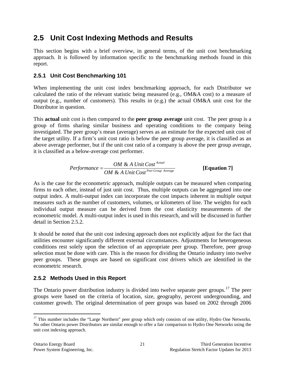### <span id="page-23-0"></span>**2.5 Unit Cost Indexing Methods and Results**

This section begins with a brief overview, in general terms, of the unit cost benchmarking approach. It is followed by information specific to the benchmarking methods found in this report.

#### <span id="page-23-1"></span>**2.5.1 Unit Cost Benchmarking 101**

When implementing the unit cost index benchmarking approach, for each Distributor we calculated the ratio of the relevant statistic being measured (e.g., OM&A cost) to a measure of output (e.g., number of customers). This results in (e.g.) the actual OM&A unit cost for the Distributor in question.

This **actual** unit cost is then compared to the **peer group average** unit cost. The peer group is a group of firms sharing similar business and operating conditions to the company being investigated. The peer group's mean (average) serves as an estimate for the expected unit cost of the target utility. If a firm's unit cost ratio is below the peer group average, it is classified as an above average performer, but if the unit cost ratio of a company is above the peer group average, it is classified as a below-average cost performer.

*Performance* = 
$$
\frac{OM & A Unit Cost^{Actual}}{OM & A Unit Cost^{Per Group Average}}
$$
 [Equation 7]

As is the case for the econometric approach, multiple outputs can be measured when comparing firms to each other, instead of just unit cost. Thus, multiple outputs can be aggregated into one output index. A multi-output index can incorporate the cost impacts inherent in multiple output measures such as the number of customers, volumes, or kilometers of line. The weights for each individual output measure can be derived from the cost elasticity measurements of the econometric model. A multi-output index is used in this research, and will be discussed in further detail in Section 2.5.2.

It should be noted that the unit cost indexing approach does not explicitly adjust for the fact that utilities encounter significantly different external circumstances. Adjustments for heterogeneous conditions rest solely upon the selection of an appropriate peer group. Therefore, peer group selection must be done with care. This is the reason for dividing the Ontario industry into twelve peer groups. These groups are based on significant cost drivers which are identified in the econometric research.

#### <span id="page-23-2"></span>**2.5.2 Methods Used in this Report**

The Ontario power distribution industry is divided into twelve separate peer groups.<sup>[17](#page-23-3)</sup> The peer groups were based on the criteria of location, size, geography, percent undergrounding, and customer growth. The original determination of peer groups was based on 2002 through 2006

<span id="page-23-3"></span><sup>&</sup>lt;sup>17</sup> This number includes the "Large Northern" peer group which only consists of one utility, Hydro One Networks. No other Ontario power Distributors are similar enough to offer a fair comparison to Hydro One Networks using the unit cost indexing approach.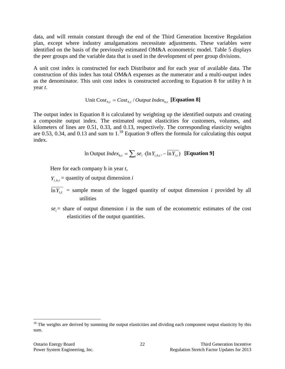data, and will remain constant through the end of the Third Generation Incentive Regulation plan, except where industry amalgamations necessitate adjustments. These variables were identified on the basis of the previously estimated OM&A econometric model. [Table 5](#page-25-0) displays the peer groups and the variable data that is used in the development of peer group divisions.

A unit cost index is constructed for each Distributor and for each year of available data. The construction of this index has total OM&A expenses as the numerator and a multi-output index as the denominator. This unit cost index is constructed according to Equation 8 for utility *h* in year *t*.

#### $Unit Cost_{h,t} = Cost_{h,t} / Output Index_{h,t}$  [**Equation 8**]

The output index in Equation 8 is calculated by weighting up the identified outputs and creating a composite output index. The estimated output elasticities for customers, volumes, and kilometers of lines are 0.51, 0.33, and 0.13, respectively. The corresponding elasticity weights are 0.53, 0.34, and 0.13 and sum to  $1<sup>18</sup>$  $1<sup>18</sup>$  $1<sup>18</sup>$  Equation 9 offers the formula for calculating this output index.

In Output 
$$
Index_{h,t} = \sum_{i} s e_i \cdot (\ln Y_{i,h,t} - \overline{\ln Y_{i,t}})
$$
 [Equation 9]

Here for each company h in year *t*,

 $Y_{i}$ <sub>*h*</sub> $t$ </sub> = quantity of output dimension *i* 

- $\overline{\ln Y_i}$  = sample mean of the logged quantity of output dimension *i* provided by all utilities
- $se_i$  = share of output dimension *i* in the sum of the econometric estimates of the cost elasticities of the output quantities.

<span id="page-24-0"></span> $18$  The weights are derived by summing the output elasticities and dividing each component output elasticity by this sum.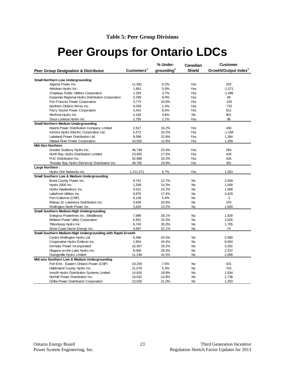# <span id="page-25-0"></span>**Peer Groups for Ontario LDCs**

| Customers <sup>1</sup><br>grounding <sup>1</sup><br><b>Shield</b><br>Growth/Output Index <sup>1</sup><br>Peer Group Designation & Distributor<br><b>Small Northern Low Undergrounding</b><br>Algoma Power Inc.<br>0.2%<br>Yes<br>203<br>11,581<br>Atikokan Hydro Inc.<br>1,661<br>0.0%<br>Yes<br>$-1,571$<br>Chapleau Public Utilities Corporation<br>1,293<br>3.7%<br>Yes<br>$-1,496$<br>Espanola Regional Hydro Distribution Corporation<br>3,299<br>8.0%<br>Yes<br>46<br>Fort Frances Power Corporation<br>3,775<br>10.8%<br>Yes<br>$-100$<br>Northern Ontario Wires Inc.<br>6,059<br>1.4%<br>$-732$<br>Yes<br>Parry Sound Power Corporation<br>3,441<br>8.5%<br>Yes<br>912<br>4,183<br>3.6%<br>901<br>Renfrew Hydro Inc.<br><b>No</b><br>Sioux Lookout Hydro Inc.<br>2,755<br>2.1%<br>96<br>Yes<br><b>Small Northern Medium Undergrounding</b><br>16.2%<br>Yes<br>430<br>Hearst Power Distribution Company Limited<br>2,817<br>Kenora Hydro Electric Corporation Ltd.<br>5,572<br>10.2%<br>Yes<br>$-1,168$<br>Lakeland Power Distribution Ltd.<br>9,598<br>22.8%<br>Yes<br>1,384<br>Ottawa River Power Corporation<br>1,209<br>10,555<br>12.8%<br>Yes<br><b>Mid-Size Northern</b><br>Greater Sudbury Hydro Inc.<br>46,748<br>284<br>23.4%<br>Yes<br>North Bay Hydro Distribution Limited<br>23,850<br>17.5%<br>Yes<br>428<br>PUC Distribution Inc.<br>32,998<br>Yes<br>426<br>16.3%<br>Thunder Bay Hydro Electricity Distribution Inc.<br>49,765<br>19.9%<br>Yes<br>391<br>Large Northern<br>1,211,071<br>6.7%<br>Yes<br>1,003<br>Hydro One Networks Inc.<br>Small Southern Low & Medium Undergrounding<br>Brant County Power Inc.<br>9,741<br>12.7%<br>No<br>2,059<br>Hydro 2000 Inc.<br>1,208<br>14.3%<br>No<br>1,508<br>5,521<br>15.2%<br>1,588<br>Hydro Hawkesbury Inc.<br><b>No</b><br>Lakefront Utilities Inc.<br>9,976<br>17.4%<br>No<br>3,429<br>$-2$<br>Port Colborne (CNP)<br>9,138<br>5.4%<br><b>No</b><br>376<br>Rideau St. Lawrence Distribution Inc.<br>5,839<br>10.6%<br><b>No</b><br>1,600<br>Wellington North Power Inc.<br>3,626<br>13.2%<br>No<br>Small Southern Medium-High Undergrounding<br>Entegrus Powerlines Inc. (Middlesex)<br>7,988<br>28.1%<br>1,828<br>No.<br>Midland Power Utility Corporation<br>6,951<br>25.3%<br>1,626<br><b>No</b><br>1,705<br>Tillsonburg Hydro Inc.<br>6,745<br>35.0%<br>No<br>West Coast Huron Energy Inc.<br>3,697<br>22.1%<br>No<br>74<br>Small Southern Medium-High Undergrounding with Rapid Growth<br>Centre Wellington Hydro Ltd.<br>6,496<br>43.5%<br>No<br>2,580 |                               |       | % Under- | Canadian | <b>Customer</b> |
|------------------------------------------------------------------------------------------------------------------------------------------------------------------------------------------------------------------------------------------------------------------------------------------------------------------------------------------------------------------------------------------------------------------------------------------------------------------------------------------------------------------------------------------------------------------------------------------------------------------------------------------------------------------------------------------------------------------------------------------------------------------------------------------------------------------------------------------------------------------------------------------------------------------------------------------------------------------------------------------------------------------------------------------------------------------------------------------------------------------------------------------------------------------------------------------------------------------------------------------------------------------------------------------------------------------------------------------------------------------------------------------------------------------------------------------------------------------------------------------------------------------------------------------------------------------------------------------------------------------------------------------------------------------------------------------------------------------------------------------------------------------------------------------------------------------------------------------------------------------------------------------------------------------------------------------------------------------------------------------------------------------------------------------------------------------------------------------------------------------------------------------------------------------------------------------------------------------------------------------------------------------------------------------------------------------------------------------------------------------------------------------------------------------------------------------------------------------------------------------------------------------------------------|-------------------------------|-------|----------|----------|-----------------|
|                                                                                                                                                                                                                                                                                                                                                                                                                                                                                                                                                                                                                                                                                                                                                                                                                                                                                                                                                                                                                                                                                                                                                                                                                                                                                                                                                                                                                                                                                                                                                                                                                                                                                                                                                                                                                                                                                                                                                                                                                                                                                                                                                                                                                                                                                                                                                                                                                                                                                                                                    |                               |       |          |          |                 |
|                                                                                                                                                                                                                                                                                                                                                                                                                                                                                                                                                                                                                                                                                                                                                                                                                                                                                                                                                                                                                                                                                                                                                                                                                                                                                                                                                                                                                                                                                                                                                                                                                                                                                                                                                                                                                                                                                                                                                                                                                                                                                                                                                                                                                                                                                                                                                                                                                                                                                                                                    |                               |       |          |          |                 |
|                                                                                                                                                                                                                                                                                                                                                                                                                                                                                                                                                                                                                                                                                                                                                                                                                                                                                                                                                                                                                                                                                                                                                                                                                                                                                                                                                                                                                                                                                                                                                                                                                                                                                                                                                                                                                                                                                                                                                                                                                                                                                                                                                                                                                                                                                                                                                                                                                                                                                                                                    |                               |       |          |          |                 |
|                                                                                                                                                                                                                                                                                                                                                                                                                                                                                                                                                                                                                                                                                                                                                                                                                                                                                                                                                                                                                                                                                                                                                                                                                                                                                                                                                                                                                                                                                                                                                                                                                                                                                                                                                                                                                                                                                                                                                                                                                                                                                                                                                                                                                                                                                                                                                                                                                                                                                                                                    |                               |       |          |          |                 |
|                                                                                                                                                                                                                                                                                                                                                                                                                                                                                                                                                                                                                                                                                                                                                                                                                                                                                                                                                                                                                                                                                                                                                                                                                                                                                                                                                                                                                                                                                                                                                                                                                                                                                                                                                                                                                                                                                                                                                                                                                                                                                                                                                                                                                                                                                                                                                                                                                                                                                                                                    |                               |       |          |          |                 |
|                                                                                                                                                                                                                                                                                                                                                                                                                                                                                                                                                                                                                                                                                                                                                                                                                                                                                                                                                                                                                                                                                                                                                                                                                                                                                                                                                                                                                                                                                                                                                                                                                                                                                                                                                                                                                                                                                                                                                                                                                                                                                                                                                                                                                                                                                                                                                                                                                                                                                                                                    |                               |       |          |          |                 |
|                                                                                                                                                                                                                                                                                                                                                                                                                                                                                                                                                                                                                                                                                                                                                                                                                                                                                                                                                                                                                                                                                                                                                                                                                                                                                                                                                                                                                                                                                                                                                                                                                                                                                                                                                                                                                                                                                                                                                                                                                                                                                                                                                                                                                                                                                                                                                                                                                                                                                                                                    |                               |       |          |          |                 |
|                                                                                                                                                                                                                                                                                                                                                                                                                                                                                                                                                                                                                                                                                                                                                                                                                                                                                                                                                                                                                                                                                                                                                                                                                                                                                                                                                                                                                                                                                                                                                                                                                                                                                                                                                                                                                                                                                                                                                                                                                                                                                                                                                                                                                                                                                                                                                                                                                                                                                                                                    |                               |       |          |          |                 |
|                                                                                                                                                                                                                                                                                                                                                                                                                                                                                                                                                                                                                                                                                                                                                                                                                                                                                                                                                                                                                                                                                                                                                                                                                                                                                                                                                                                                                                                                                                                                                                                                                                                                                                                                                                                                                                                                                                                                                                                                                                                                                                                                                                                                                                                                                                                                                                                                                                                                                                                                    |                               |       |          |          |                 |
|                                                                                                                                                                                                                                                                                                                                                                                                                                                                                                                                                                                                                                                                                                                                                                                                                                                                                                                                                                                                                                                                                                                                                                                                                                                                                                                                                                                                                                                                                                                                                                                                                                                                                                                                                                                                                                                                                                                                                                                                                                                                                                                                                                                                                                                                                                                                                                                                                                                                                                                                    |                               |       |          |          |                 |
|                                                                                                                                                                                                                                                                                                                                                                                                                                                                                                                                                                                                                                                                                                                                                                                                                                                                                                                                                                                                                                                                                                                                                                                                                                                                                                                                                                                                                                                                                                                                                                                                                                                                                                                                                                                                                                                                                                                                                                                                                                                                                                                                                                                                                                                                                                                                                                                                                                                                                                                                    |                               |       |          |          |                 |
|                                                                                                                                                                                                                                                                                                                                                                                                                                                                                                                                                                                                                                                                                                                                                                                                                                                                                                                                                                                                                                                                                                                                                                                                                                                                                                                                                                                                                                                                                                                                                                                                                                                                                                                                                                                                                                                                                                                                                                                                                                                                                                                                                                                                                                                                                                                                                                                                                                                                                                                                    |                               |       |          |          |                 |
|                                                                                                                                                                                                                                                                                                                                                                                                                                                                                                                                                                                                                                                                                                                                                                                                                                                                                                                                                                                                                                                                                                                                                                                                                                                                                                                                                                                                                                                                                                                                                                                                                                                                                                                                                                                                                                                                                                                                                                                                                                                                                                                                                                                                                                                                                                                                                                                                                                                                                                                                    |                               |       |          |          |                 |
|                                                                                                                                                                                                                                                                                                                                                                                                                                                                                                                                                                                                                                                                                                                                                                                                                                                                                                                                                                                                                                                                                                                                                                                                                                                                                                                                                                                                                                                                                                                                                                                                                                                                                                                                                                                                                                                                                                                                                                                                                                                                                                                                                                                                                                                                                                                                                                                                                                                                                                                                    |                               |       |          |          |                 |
|                                                                                                                                                                                                                                                                                                                                                                                                                                                                                                                                                                                                                                                                                                                                                                                                                                                                                                                                                                                                                                                                                                                                                                                                                                                                                                                                                                                                                                                                                                                                                                                                                                                                                                                                                                                                                                                                                                                                                                                                                                                                                                                                                                                                                                                                                                                                                                                                                                                                                                                                    |                               |       |          |          |                 |
|                                                                                                                                                                                                                                                                                                                                                                                                                                                                                                                                                                                                                                                                                                                                                                                                                                                                                                                                                                                                                                                                                                                                                                                                                                                                                                                                                                                                                                                                                                                                                                                                                                                                                                                                                                                                                                                                                                                                                                                                                                                                                                                                                                                                                                                                                                                                                                                                                                                                                                                                    |                               |       |          |          |                 |
|                                                                                                                                                                                                                                                                                                                                                                                                                                                                                                                                                                                                                                                                                                                                                                                                                                                                                                                                                                                                                                                                                                                                                                                                                                                                                                                                                                                                                                                                                                                                                                                                                                                                                                                                                                                                                                                                                                                                                                                                                                                                                                                                                                                                                                                                                                                                                                                                                                                                                                                                    |                               |       |          |          |                 |
|                                                                                                                                                                                                                                                                                                                                                                                                                                                                                                                                                                                                                                                                                                                                                                                                                                                                                                                                                                                                                                                                                                                                                                                                                                                                                                                                                                                                                                                                                                                                                                                                                                                                                                                                                                                                                                                                                                                                                                                                                                                                                                                                                                                                                                                                                                                                                                                                                                                                                                                                    |                               |       |          |          |                 |
|                                                                                                                                                                                                                                                                                                                                                                                                                                                                                                                                                                                                                                                                                                                                                                                                                                                                                                                                                                                                                                                                                                                                                                                                                                                                                                                                                                                                                                                                                                                                                                                                                                                                                                                                                                                                                                                                                                                                                                                                                                                                                                                                                                                                                                                                                                                                                                                                                                                                                                                                    |                               |       |          |          |                 |
|                                                                                                                                                                                                                                                                                                                                                                                                                                                                                                                                                                                                                                                                                                                                                                                                                                                                                                                                                                                                                                                                                                                                                                                                                                                                                                                                                                                                                                                                                                                                                                                                                                                                                                                                                                                                                                                                                                                                                                                                                                                                                                                                                                                                                                                                                                                                                                                                                                                                                                                                    |                               |       |          |          |                 |
|                                                                                                                                                                                                                                                                                                                                                                                                                                                                                                                                                                                                                                                                                                                                                                                                                                                                                                                                                                                                                                                                                                                                                                                                                                                                                                                                                                                                                                                                                                                                                                                                                                                                                                                                                                                                                                                                                                                                                                                                                                                                                                                                                                                                                                                                                                                                                                                                                                                                                                                                    |                               |       |          |          |                 |
|                                                                                                                                                                                                                                                                                                                                                                                                                                                                                                                                                                                                                                                                                                                                                                                                                                                                                                                                                                                                                                                                                                                                                                                                                                                                                                                                                                                                                                                                                                                                                                                                                                                                                                                                                                                                                                                                                                                                                                                                                                                                                                                                                                                                                                                                                                                                                                                                                                                                                                                                    |                               |       |          |          |                 |
|                                                                                                                                                                                                                                                                                                                                                                                                                                                                                                                                                                                                                                                                                                                                                                                                                                                                                                                                                                                                                                                                                                                                                                                                                                                                                                                                                                                                                                                                                                                                                                                                                                                                                                                                                                                                                                                                                                                                                                                                                                                                                                                                                                                                                                                                                                                                                                                                                                                                                                                                    |                               |       |          |          |                 |
|                                                                                                                                                                                                                                                                                                                                                                                                                                                                                                                                                                                                                                                                                                                                                                                                                                                                                                                                                                                                                                                                                                                                                                                                                                                                                                                                                                                                                                                                                                                                                                                                                                                                                                                                                                                                                                                                                                                                                                                                                                                                                                                                                                                                                                                                                                                                                                                                                                                                                                                                    |                               |       |          |          |                 |
|                                                                                                                                                                                                                                                                                                                                                                                                                                                                                                                                                                                                                                                                                                                                                                                                                                                                                                                                                                                                                                                                                                                                                                                                                                                                                                                                                                                                                                                                                                                                                                                                                                                                                                                                                                                                                                                                                                                                                                                                                                                                                                                                                                                                                                                                                                                                                                                                                                                                                                                                    |                               |       |          |          |                 |
|                                                                                                                                                                                                                                                                                                                                                                                                                                                                                                                                                                                                                                                                                                                                                                                                                                                                                                                                                                                                                                                                                                                                                                                                                                                                                                                                                                                                                                                                                                                                                                                                                                                                                                                                                                                                                                                                                                                                                                                                                                                                                                                                                                                                                                                                                                                                                                                                                                                                                                                                    |                               |       |          |          |                 |
|                                                                                                                                                                                                                                                                                                                                                                                                                                                                                                                                                                                                                                                                                                                                                                                                                                                                                                                                                                                                                                                                                                                                                                                                                                                                                                                                                                                                                                                                                                                                                                                                                                                                                                                                                                                                                                                                                                                                                                                                                                                                                                                                                                                                                                                                                                                                                                                                                                                                                                                                    |                               |       |          |          |                 |
|                                                                                                                                                                                                                                                                                                                                                                                                                                                                                                                                                                                                                                                                                                                                                                                                                                                                                                                                                                                                                                                                                                                                                                                                                                                                                                                                                                                                                                                                                                                                                                                                                                                                                                                                                                                                                                                                                                                                                                                                                                                                                                                                                                                                                                                                                                                                                                                                                                                                                                                                    |                               |       |          |          |                 |
|                                                                                                                                                                                                                                                                                                                                                                                                                                                                                                                                                                                                                                                                                                                                                                                                                                                                                                                                                                                                                                                                                                                                                                                                                                                                                                                                                                                                                                                                                                                                                                                                                                                                                                                                                                                                                                                                                                                                                                                                                                                                                                                                                                                                                                                                                                                                                                                                                                                                                                                                    |                               |       |          |          |                 |
|                                                                                                                                                                                                                                                                                                                                                                                                                                                                                                                                                                                                                                                                                                                                                                                                                                                                                                                                                                                                                                                                                                                                                                                                                                                                                                                                                                                                                                                                                                                                                                                                                                                                                                                                                                                                                                                                                                                                                                                                                                                                                                                                                                                                                                                                                                                                                                                                                                                                                                                                    |                               |       |          |          |                 |
|                                                                                                                                                                                                                                                                                                                                                                                                                                                                                                                                                                                                                                                                                                                                                                                                                                                                                                                                                                                                                                                                                                                                                                                                                                                                                                                                                                                                                                                                                                                                                                                                                                                                                                                                                                                                                                                                                                                                                                                                                                                                                                                                                                                                                                                                                                                                                                                                                                                                                                                                    |                               |       |          |          |                 |
|                                                                                                                                                                                                                                                                                                                                                                                                                                                                                                                                                                                                                                                                                                                                                                                                                                                                                                                                                                                                                                                                                                                                                                                                                                                                                                                                                                                                                                                                                                                                                                                                                                                                                                                                                                                                                                                                                                                                                                                                                                                                                                                                                                                                                                                                                                                                                                                                                                                                                                                                    |                               |       |          |          |                 |
|                                                                                                                                                                                                                                                                                                                                                                                                                                                                                                                                                                                                                                                                                                                                                                                                                                                                                                                                                                                                                                                                                                                                                                                                                                                                                                                                                                                                                                                                                                                                                                                                                                                                                                                                                                                                                                                                                                                                                                                                                                                                                                                                                                                                                                                                                                                                                                                                                                                                                                                                    |                               |       |          |          |                 |
|                                                                                                                                                                                                                                                                                                                                                                                                                                                                                                                                                                                                                                                                                                                                                                                                                                                                                                                                                                                                                                                                                                                                                                                                                                                                                                                                                                                                                                                                                                                                                                                                                                                                                                                                                                                                                                                                                                                                                                                                                                                                                                                                                                                                                                                                                                                                                                                                                                                                                                                                    |                               |       |          |          |                 |
|                                                                                                                                                                                                                                                                                                                                                                                                                                                                                                                                                                                                                                                                                                                                                                                                                                                                                                                                                                                                                                                                                                                                                                                                                                                                                                                                                                                                                                                                                                                                                                                                                                                                                                                                                                                                                                                                                                                                                                                                                                                                                                                                                                                                                                                                                                                                                                                                                                                                                                                                    |                               |       |          |          |                 |
|                                                                                                                                                                                                                                                                                                                                                                                                                                                                                                                                                                                                                                                                                                                                                                                                                                                                                                                                                                                                                                                                                                                                                                                                                                                                                                                                                                                                                                                                                                                                                                                                                                                                                                                                                                                                                                                                                                                                                                                                                                                                                                                                                                                                                                                                                                                                                                                                                                                                                                                                    |                               |       |          |          |                 |
|                                                                                                                                                                                                                                                                                                                                                                                                                                                                                                                                                                                                                                                                                                                                                                                                                                                                                                                                                                                                                                                                                                                                                                                                                                                                                                                                                                                                                                                                                                                                                                                                                                                                                                                                                                                                                                                                                                                                                                                                                                                                                                                                                                                                                                                                                                                                                                                                                                                                                                                                    |                               |       |          |          |                 |
|                                                                                                                                                                                                                                                                                                                                                                                                                                                                                                                                                                                                                                                                                                                                                                                                                                                                                                                                                                                                                                                                                                                                                                                                                                                                                                                                                                                                                                                                                                                                                                                                                                                                                                                                                                                                                                                                                                                                                                                                                                                                                                                                                                                                                                                                                                                                                                                                                                                                                                                                    |                               |       |          |          |                 |
|                                                                                                                                                                                                                                                                                                                                                                                                                                                                                                                                                                                                                                                                                                                                                                                                                                                                                                                                                                                                                                                                                                                                                                                                                                                                                                                                                                                                                                                                                                                                                                                                                                                                                                                                                                                                                                                                                                                                                                                                                                                                                                                                                                                                                                                                                                                                                                                                                                                                                                                                    |                               |       |          |          |                 |
|                                                                                                                                                                                                                                                                                                                                                                                                                                                                                                                                                                                                                                                                                                                                                                                                                                                                                                                                                                                                                                                                                                                                                                                                                                                                                                                                                                                                                                                                                                                                                                                                                                                                                                                                                                                                                                                                                                                                                                                                                                                                                                                                                                                                                                                                                                                                                                                                                                                                                                                                    | Cooperative Hydro Embrun Inc. | 1,954 | 44.4%    | No       | 6,004           |
| 10,307<br>29.2%<br>No<br>Grimsby Power Incorporated<br>3,281                                                                                                                                                                                                                                                                                                                                                                                                                                                                                                                                                                                                                                                                                                                                                                                                                                                                                                                                                                                                                                                                                                                                                                                                                                                                                                                                                                                                                                                                                                                                                                                                                                                                                                                                                                                                                                                                                                                                                                                                                                                                                                                                                                                                                                                                                                                                                                                                                                                                       |                               |       |          |          |                 |
| 8,000<br>29.3%<br>Niagara-on-the-Lake Hydro Inc.<br>No<br>2,237                                                                                                                                                                                                                                                                                                                                                                                                                                                                                                                                                                                                                                                                                                                                                                                                                                                                                                                                                                                                                                                                                                                                                                                                                                                                                                                                                                                                                                                                                                                                                                                                                                                                                                                                                                                                                                                                                                                                                                                                                                                                                                                                                                                                                                                                                                                                                                                                                                                                    |                               |       |          |          |                 |
| 11,248<br>41.5%<br>No<br>2,008<br>Orangeville Hydro Limited                                                                                                                                                                                                                                                                                                                                                                                                                                                                                                                                                                                                                                                                                                                                                                                                                                                                                                                                                                                                                                                                                                                                                                                                                                                                                                                                                                                                                                                                                                                                                                                                                                                                                                                                                                                                                                                                                                                                                                                                                                                                                                                                                                                                                                                                                                                                                                                                                                                                        |                               |       |          |          |                 |
| Mid-size Southern Low & Medium Undergrounding                                                                                                                                                                                                                                                                                                                                                                                                                                                                                                                                                                                                                                                                                                                                                                                                                                                                                                                                                                                                                                                                                                                                                                                                                                                                                                                                                                                                                                                                                                                                                                                                                                                                                                                                                                                                                                                                                                                                                                                                                                                                                                                                                                                                                                                                                                                                                                                                                                                                                      |                               |       |          |          |                 |
| 431<br>Fort Erie - Eastern Ontario Power (CNP)<br>19,259<br>7.6%<br>No                                                                                                                                                                                                                                                                                                                                                                                                                                                                                                                                                                                                                                                                                                                                                                                                                                                                                                                                                                                                                                                                                                                                                                                                                                                                                                                                                                                                                                                                                                                                                                                                                                                                                                                                                                                                                                                                                                                                                                                                                                                                                                                                                                                                                                                                                                                                                                                                                                                             |                               |       |          |          |                 |
| 21,078<br>5.3%<br><b>No</b><br>703<br>Haldimand County Hydro Inc.                                                                                                                                                                                                                                                                                                                                                                                                                                                                                                                                                                                                                                                                                                                                                                                                                                                                                                                                                                                                                                                                                                                                                                                                                                                                                                                                                                                                                                                                                                                                                                                                                                                                                                                                                                                                                                                                                                                                                                                                                                                                                                                                                                                                                                                                                                                                                                                                                                                                  |                               |       |          |          |                 |
| Innisfil Hydro Distribution Systems Limited<br>14,826<br>18.9%<br>1,934<br><b>No</b>                                                                                                                                                                                                                                                                                                                                                                                                                                                                                                                                                                                                                                                                                                                                                                                                                                                                                                                                                                                                                                                                                                                                                                                                                                                                                                                                                                                                                                                                                                                                                                                                                                                                                                                                                                                                                                                                                                                                                                                                                                                                                                                                                                                                                                                                                                                                                                                                                                               |                               |       |          |          |                 |
| Norfolk Power Distribution Inc.<br>19,032<br>14.8%<br>No<br>1,738                                                                                                                                                                                                                                                                                                                                                                                                                                                                                                                                                                                                                                                                                                                                                                                                                                                                                                                                                                                                                                                                                                                                                                                                                                                                                                                                                                                                                                                                                                                                                                                                                                                                                                                                                                                                                                                                                                                                                                                                                                                                                                                                                                                                                                                                                                                                                                                                                                                                  |                               |       |          |          |                 |
| 13,035<br>21.0%<br>1,293<br>Orillia Power Distribution Corporation<br><b>No</b>                                                                                                                                                                                                                                                                                                                                                                                                                                                                                                                                                                                                                                                                                                                                                                                                                                                                                                                                                                                                                                                                                                                                                                                                                                                                                                                                                                                                                                                                                                                                                                                                                                                                                                                                                                                                                                                                                                                                                                                                                                                                                                                                                                                                                                                                                                                                                                                                                                                    |                               |       |          |          |                 |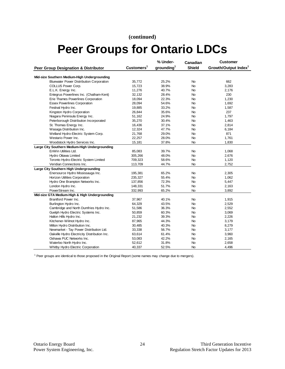#### **(continued)**

# **Peer Groups for Ontario LDCs**

|                                                 |                        | % Under-               | Canadian      | <b>Customer</b>                  |
|-------------------------------------------------|------------------------|------------------------|---------------|----------------------------------|
| Peer Group Designation & Distributor            | Customers <sup>1</sup> | aroundina <sup>1</sup> | <b>Shield</b> | Growth/Output Index <sup>1</sup> |
|                                                 |                        |                        |               |                                  |
| Mid-size Southern Medium-High Undergrounding    |                        |                        |               |                                  |
| <b>Bluewater Power Distribution Corporation</b> | 35,772                 | 25.2%                  | No            | 662                              |
| COLLUS Power Corp.                              | 15,723                 | 38.9%                  | No.           | 3,283                            |
| E.L.K. Energy Inc.                              | 11,276                 | 40.7%                  | <b>No</b>     | 2,176                            |
| Entegrus Powerlines Inc. (Chatham-Kent)         | 32,132                 | 28.4%                  | No            | 230                              |
| Erie Thames Powerlines Corporation              | 18,094                 | 22.3%                  | No.           | 1,230                            |
| <b>Essex Powerlines Corporation</b>             | 28,094                 | 54.6%                  | No            | 1,692                            |
| Festival Hydro Inc.                             | 19,885                 | 33.2%                  | No            | 1,587                            |
| Kingston Hydro Corporation                      | 26,844                 | 35.6%                  | <b>No</b>     | 237                              |
| Niagara Peninsula Energy Inc.                   | 51,162                 | 24.9%                  | <b>No</b>     | 1,797                            |
| Peterborough Distribution Incorporated          | 35,270                 | 30.4%                  | No            | 1,463                            |
| St. Thomas Energy Inc.                          | 16,436                 | 37.1%                  | <b>No</b>     | 2,814                            |
| Wasaga Distribution Inc.                        | 12,324                 | 47.7%                  | No.           | 6,184                            |
| Welland Hydro-Electric System Corp.             | 21,768                 | 29.0%                  | No            | 871                              |
| Westario Power Inc.                             | 22,257                 | 28.0%                  | <b>No</b>     | 1,761                            |
| Woodstock Hydro Services Inc.                   | 15,181                 | 37.8%                  | No            | 1,830                            |
| Large City Southern Medium-High Undergrounding  |                        |                        |               |                                  |
| EnWin Utilities Ltd.                            | 85,083                 | 39.7%                  | No            | 1,068                            |
| Hydro Ottawa Limited                            | 305,266                | 48.0%                  | <b>No</b>     | 2,676                            |
| Toronto Hydro-Electric System Limited           | 709,323                | 58.6%                  | No            | 1,120                            |
| Veridian Connections Inc.                       | 113,709                | 44.7%                  | <b>No</b>     | 2,752                            |
| Large City Southern High Undergrounding         |                        |                        |               |                                  |
| Enersource Hydro Mississauga Inc.               | 195,381                | 65.2%                  | No            | 2,305                            |
| Horizon Utilities Corporation                   | 235,327                | 55.4%                  | No            | 1,062                            |
| Hydro One Brampton Networks Inc.                | 137,856                | 72.3%                  | No            | 5,447                            |
| London Hydro Inc.                               | 148,331                | 51.7%                  | No            | 2,163                            |
| PowerStream Inc.                                | 332,993                | 65.2%                  | No            | 3,892                            |
| Mid-size GTA Medium-High & High Undergrounding  |                        |                        |               |                                  |
| Brantford Power Inc.                            | 37,967                 | 40.1%                  | No.           | 1,915                            |
| Burlington Hydro Inc.                           | 64,329                 | 43.5%                  | No            | 2,529                            |
| Cambridge and North Dumfries Hydro Inc.         | 51,586                 | 36.3%                  | No            | 2,552                            |
| Guelph Hydro Electric Systems Inc.              | 50,859                 | 60.3%                  | No.           | 3,069                            |
| Halton Hills Hydro Inc.                         | 21,232                 | 39.3%                  | No.           | 2,226                            |
| Kitchener-Wilmot Hydro Inc.                     | 87,965                 | 44.3%                  | No            | 3,179                            |
| Milton Hydro Distribution Inc.                  | 30,485                 | 40.3%                  | No.           | 8,279                            |
| Newmarket - Tay Power Distribution Ltd.         | 33,338                 | 56.7%                  | No            | 3,177                            |
| Oakville Hydro Electricity Distribution Inc.    | 63,614                 | 61.4%                  | No            | 3,960                            |
| Oshawa PUC Networks Inc.                        | 53,083                 | 42.2%                  | <b>No</b>     | 2,165                            |
| Waterloo North Hydro Inc.                       | 52,612                 | 31.8%                  | No            | 2,658                            |
| Whitby Hydro Electric Corporation               | 40,337                 | 52.5%                  | <b>No</b>     | 4,496                            |

<sup>1</sup> Peer groups are identical to those proposed in the Original Report (some names may change due to mergers).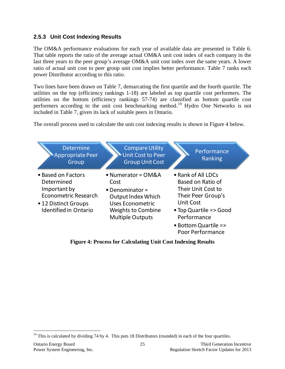#### <span id="page-27-0"></span>**2.5.3 Unit Cost Indexing Results**

The OM&A performance evaluations for each year of available data are presented in [Table 6.](#page-28-0) That table reports the ratio of the average actual OM&A unit cost index of each company in the last three years to the peer group's average OM&A unit cost index over the same years. A lower ratio of actual unit cost to peer group unit cost implies better performance. Table 7 ranks each power Distributor according to this ratio.

Two lines have been drawn on Table 7, demarcating the first quartile and the fourth quartile. The utilities on the top (efficiency rankings 1-18) are labeled as top quartile cost performers. The utilities on the bottom (efficiency rankings 57-74) are classified as bottom quartile cost performers according to the unit cost benchmarking method.<sup>[19](#page-27-2)</sup> Hydro One Networks is not included in [Table 7,](#page-30-0) given its lack of suitable peers in Ontario.

The overall process used to calculate the unit cost indexing results is shown in [Figure 4](#page-27-1) below.



<span id="page-27-1"></span>**Figure 4: Process for Calculating Unit Cost Indexing Results**

<span id="page-27-2"></span><sup>&</sup>lt;sup>19</sup> This is calculated by dividing 74 by 4. This puts 18 Distributors (rounded) in each of the four quartiles.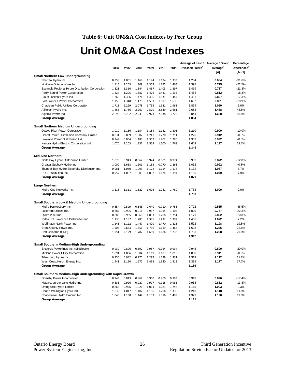#### **Table 6: Unit OM&A Cost Indexes by Peer Group**

## **Unit OM&A Cost Indexes**

<span id="page-28-0"></span>

|                                                                               |       |                |       |                |       |       | Average of Last 3 Average / Group |                      | Percentage               |
|-------------------------------------------------------------------------------|-------|----------------|-------|----------------|-------|-------|-----------------------------------|----------------------|--------------------------|
|                                                                               | 2006  | 2007           | 2008  | 2009           | 2010  | 2011  | Available Years <sup>1</sup>      | Average <sup>1</sup> | Differences <sup>1</sup> |
|                                                                               |       |                |       |                |       |       |                                   | [A]                  | $[A - 1]$                |
| <b>Small Northern Low Undergrounding</b>                                      |       |                |       |                |       |       |                                   |                      |                          |
| Renfrew Hydro Inc.                                                            | 0.958 | 1.051          | 1.168 | 1.174          | 1.194 | 1.333 | 1.234                             | 0.684                | $-31.6%$                 |
| Northern Ontario Wires Inc.                                                   | 1.115 | 1.203          | 1.308 | 1.357          | 1.375 | 1.464 | 1.398                             | 0.775                | $-22.5%$                 |
| Espanola Regional Hydro Distribution Corporation                              | 1.321 | 1.310          | 1.344 | 1.457          | 1.403 | 1.397 | 1.419                             | 0.787                | $-21.3%$                 |
| Parry Sound Power Corporation                                                 | 1.227 | 1.205          | 1.382 | 1.426          | 1.431 | 1.536 | 1.464                             | 0.812                | $-18.8%$                 |
| Sioux Lookout Hydro Inc.                                                      | 1.263 | 1.386          | 1.471 | 1.496          | 1.531 | 1.447 | 1.491                             | 0.827                | $-17.3%$                 |
| Fort Frances Power Corporation                                                | 1.253 | 1.348          | 1.478 | 1.593          | 1.597 | 1.630 | 1.607                             | 0.891                | $-10.9%$                 |
| Chapleau Public Utilities Corporation                                         | 1.718 | 2.229          | 2.078 | 1.735          | 1.981 | 1.968 | 1.894                             | 1.050                | 5.0%                     |
| Atikokan Hydro Inc.                                                           | 1.455 | 1.786          | 2.267 | 2.520          | 2.849 | 2.681 | 2.683                             | 1.488                | 48.8%                    |
| Algoma Power Inc.                                                             | 2.698 | 2.762          | 2.943 | 2.923          | 2.938 | 3.272 | 3.044                             | 1.688                | 68.8%                    |
| <b>Group Average</b>                                                          |       |                |       |                |       |       | 1.804                             |                      |                          |
|                                                                               |       |                |       |                |       |       |                                   |                      |                          |
| Small Northern Medium Undergrounding                                          | 1.010 | 1.136          | 1.154 | 1.184          | 1.142 | 1.303 | 1.210                             | 0.900                | $-10.0%$                 |
| Ottawa River Power Corporation                                                | 0.831 |                | 1.002 |                | 1.220 | 1.211 | 1.226                             | 0.912                |                          |
| Hearst Power Distribution Company Limited<br>Lakeland Power Distribution Ltd. | 0.949 | 0.869<br>0.854 | 1.183 | 1.247<br>1.302 | 1.402 | 1.296 | 1.333                             | 0.992                | $-8.8%$                  |
|                                                                               |       |                |       |                |       |       |                                   |                      | $-0.8%$                  |
| Kenora Hydro Electric Corporation Ltd.                                        | 1.070 | 1.203          | 1.357 | 1.559          | 1.500 | 1.768 | 1.609                             | 1.197                | 19.7%                    |
| <b>Group Average</b>                                                          |       |                |       |                |       |       | 1.344                             |                      |                          |
| <b>Mid-Size Northern</b>                                                      |       |                |       |                |       |       |                                   |                      |                          |
| North Bay Hydro Distribution Limited                                          | 1.073 | 0.943          | 0.962 | 0.924          | 0.901 | 0.974 | 0.933                             | 0.872                | $-12.8%$                 |
| Greater Sudbury Hydro Inc.                                                    | 1.000 | 1.658          | 1.101 | 1.153          | 0.770 | 1.263 | 1.062                             | 0.992                | $-0.8%$                  |
| Thunder Bay Hydro Electricity Distribution Inc.                               | 0.981 | 1.080          | 1.093 | 1.122          | 1.154 | 1.118 | 1.132                             | 1.057                | 5.7%                     |
| PUC Distribution Inc.                                                         | 0.957 | 1.087          | 1.009 | 1.097          | 1.174 | 1.194 | 1.155                             | 1.079                | 7.9%                     |
| <b>Group Average</b>                                                          |       |                |       |                |       |       | 1.071                             |                      |                          |
|                                                                               |       |                |       |                |       |       |                                   |                      |                          |
| Large Northern                                                                |       |                |       |                |       |       |                                   |                      |                          |
| Hydro One Networks Inc.                                                       | 1.118 | 1.311          | 1.522 | 1.676          | 1.761 | 1.760 | 1.733                             | 1.000                | 0.0%                     |
| <b>Group Average</b>                                                          |       |                |       |                |       |       | 1.733                             |                      |                          |
|                                                                               |       |                |       |                |       |       |                                   |                      |                          |
| <b>Small Southern Low &amp; Medium Undergrounding</b>                         |       |                |       |                |       |       |                                   |                      |                          |
| Hydro Hawkesbury Inc.                                                         | 0.554 | 0.599          | 0.643 | 0.640          | 0.710 | 0.756 | 0.702                             | 0.535                | $-46.5%$                 |
| Lakefront Utilities Inc.                                                      | 0.887 | 0.905          | 0.911 | 0.937          | 1.015 | 1.107 | 1.020                             | 0.777                | $-22.3%$                 |
| Hydro 2000 Inc.                                                               | 0.886 | 0.935          | 0.960 | 1.053          | 1.208 | 1.251 | 1.171                             | 0.892                | $-10.8%$                 |
| Rideau St. Lawrence Distribution Inc.                                         | 1.135 | 1.187          | 1.285 | 1.395          | 1.432 | 1.392 | 1.406                             | 1.072                | 7.2%                     |
| Wellington North Power Inc.                                                   | 1.143 | 1.122          | 1.447 | 1.420          | 1.470 | 1.825 | 1.572                             | 1.198                | 19.8%                    |
| Brant County Power Inc.                                                       | 1.503 | 0.653          | 1.356 | 1.736          | 1.619 | 1.468 | 1.608                             | 1.226                | 22.6%                    |
| Port Colborne (CNP)                                                           | 1.951 | 2.129          | 1.787 | 1.689          | 1.686 | 1.733 | 1.703                             | 1.298                | 29.8%                    |
| <b>Group Average</b>                                                          |       |                |       |                |       |       | 1.312                             |                      |                          |
|                                                                               |       |                |       |                |       |       |                                   |                      |                          |
| Small Southern Medium-High Undergrounding                                     |       |                |       |                |       |       |                                   |                      |                          |
| Entegrus Powerlines Inc. (Middlesex)                                          | 0.930 | 0.896          | 0.892 | 0.957          | 0.954 | 0.934 | 0.948                             | 0.800                | $-20.0%$                 |
| Midland Power Utility Corporation                                             | 1.091 | 1.066          | 1.084 | 1.119          | 1.107 | 1.015 | 1.080                             | 0.911                | $-8.9%$                  |
| Tillsonburg Hydro Inc.                                                        | 0.950 | 0.942          | 0.975 | 1.297          | 1.329 | 1.331 | 1.319                             | 1.112                | 11.2%                    |
| West Coast Huron Energy Inc.                                                  | 1.441 | 1.190          | 1.272 | 1.433          | 1.340 | 1.412 | 1.395                             | 1.177                | 17.7%                    |
| <b>Group Average</b>                                                          |       |                |       |                |       |       | 1.186                             |                      |                          |
| Small Southern Medium-High Undergrounding with Rapid Growth                   |       |                |       |                |       |       |                                   |                      |                          |
| Grimsby Power Incorporated                                                    | 0.743 | 0.813          | 0.867 | 0.900          | 0.860 | 0.993 | 0.918                             | 0.826                | $-17.4%$                 |
| Niagara-on-the-Lake Hydro Inc.                                                | 0.835 | 0.926          | 0.927 | 0.977          | 0.915 | 0.983 | 0.958                             | 0.862                | $-13.8%$                 |
| Orangeville Hydro Limited                                                     | 0.863 | 0.926          | 1.026 | 1.014          | 1.083 | 1.248 | 1.115                             | 1.003                | 0.3%                     |
| Centre Wellington Hydro Ltd.                                                  | 1.035 | 1.047          | 1.102 | 1.186          | 1.206 | 1.336 | 1.243                             | 1.118                | 11.8%                    |
| Cooperative Hydro Embrun Inc.                                                 | 1.040 | 1.138          | 1.142 | 1.153          | 1.316 | 1.499 | 1.323                             | 1.190                | 19.0%                    |
| <b>Group Average</b>                                                          |       |                |       |                |       |       | 1.111                             |                      |                          |
|                                                                               |       |                |       |                |       |       |                                   |                      |                          |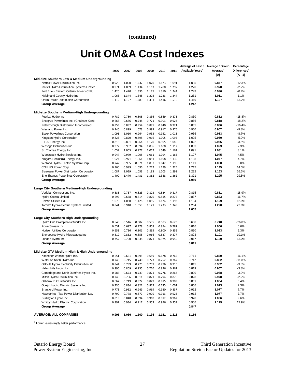#### **(continued)**

## **Unit OM&A Cost Indexes**

|                                                 |       |       |       |       |       |       | Average of Last 3 Average / Group |                      | Percentage               |
|-------------------------------------------------|-------|-------|-------|-------|-------|-------|-----------------------------------|----------------------|--------------------------|
|                                                 | 2006  | 2007  | 2008  | 2009  | 2010  | 2011  | Available Years <sup>1</sup>      | Average <sup>1</sup> | Differences <sup>1</sup> |
|                                                 |       |       |       |       |       |       |                                   | [A]                  | [A - 1]                  |
| Mid-size Southern Low & Medium Undergrounding   |       |       |       |       |       |       |                                   |                      |                          |
| Norfolk Power Distribution Inc.                 | 0.920 | 1.090 | 1.237 | 1.070 | 1.123 | 1.091 | 1.095                             | 0.877                | $-12.3%$                 |
| Innisfil Hydro Distribution Systems Limited     | 0.971 | 1.039 | 1.134 | 1.163 | 1.200 | 1.297 | 1.220                             | 0.978                | $-2.2%$                  |
| Fort Erie - Eastern Ontario Power (CNP)         | 1.420 | 1.470 | 1.336 | 1.175 | 1.310 | 1.244 | 1.243                             | 0.996                | $-0.4%$                  |
| Haldimand County Hydro Inc.                     | 1.063 | 1.344 | 1.348 | 1.208 | 1.233 | 1.344 | 1.261                             | 1.011                | 1.1%                     |
| Orillia Power Distribution Corporation          | 1.112 | 1.197 | 1.289 | 1.331 | 1.416 | 1.510 | 1.419                             | 1.137                | 13.7%                    |
| Group Average                                   |       |       |       |       |       |       | 1.247                             |                      |                          |
|                                                 |       |       |       |       |       |       |                                   |                      |                          |
| Mid-size Southern Medium-High Undergrounding    |       |       |       |       |       |       |                                   |                      |                          |
| Festival Hydro Inc.                             | 0.789 | 0.780 | 0.808 | 0.836 | 0.869 | 0.873 | 0.860                             | 0.812                | $-18.8%$                 |
| Entegrus Powerlines Inc. (Chatham-Kent)         | 0.668 | 0.686 | 0.748 | 0.771 | 0.903 | 0.923 | 0.866                             | 0.818                | $-18.2%$                 |
| Peterborough Distribution Incorporated          | 0.853 | 0.882 | 0.954 | 0.895 | 0.840 | 0.921 | 0.885                             | 0.836                | $-16.4%$                 |
| Westario Power Inc.                             | 0.940 | 0.899 | 1.073 | 0.989 | 0.917 | 0.976 | 0.960                             | 0.907                | $-9.3%$                  |
| <b>Essex Powerlines Corporation</b>             | 1.091 | 1.010 | 0.964 | 0.933 | 0.952 | 1.013 | 0.966                             | 0.913                | $-8.7%$                  |
| Kingston Hydro Corporation                      | 0.823 | 0.820 | 0.898 | 0.916 | 1.005 | 1.095 | 1.005                             | 0.950                | $-5.0%$                  |
| E.L.K. Energy Inc.                              | 0.818 | 0.851 | 0.964 | 1.120 | 0.905 | 1.040 | 1.022                             | 0.965                | $-3.5%$                  |
| Wasaga Distribution Inc.                        | 0.972 | 0.952 | 0.994 | 1.036 | 1.100 | 1.112 | 1.083                             | 1.023                | 2.3%                     |
| St. Thomas Energy Inc.                          | 1.059 | 1.003 | 0.977 | 1.062 | 1.049 | 1.162 | 1.091                             | 1.031                | 3.1%                     |
| Woodstock Hydro Services Inc.                   | 0.947 | 0.979 | 1.005 | 1.061 | 1.094 | 1.165 | 1.107                             | 1.045                | 4.5%                     |
| Niagara Peninsula Energy Inc.                   | 1.024 | 0.971 | 1.061 | 1.081 | 1.108 | 1.135 | 1.108                             | 1.047                | 4.7%                     |
| Welland Hydro-Electric System Corp.             | 0.742 | 0.955 | 0.971 | 1.097 | 1.042 | 1.195 | 1.111                             | 1.050                | 5.0%                     |
| COLLUS Power Corp.                              | 0.960 | 0.999 | 1.096 | 1.212 | 1.199 | 1.225 | 1.212                             | 1.145                | 14.5%                    |
| <b>Bluewater Power Distribution Corporation</b> | 1.087 | 1.029 | 1.053 | 1.193 | 1.203 | 1.298 | 1.232                             | 1.163                | 16.3%                    |
| Erie Thames Powerlines Corporation              | 1.400 | 1.470 | 1.431 | 1.362 | 1.388 | 1.362 | 1.371                             | 1.295                | 29.5%                    |
| <b>Group Average</b>                            |       |       |       |       |       |       | 1.059                             |                      |                          |
|                                                 |       |       |       |       |       |       |                                   |                      |                          |
| Large City Southern Medium-High Undergrounding  |       |       |       |       |       |       |                                   |                      |                          |
| Veridian Connections Inc.                       | 0.835 | 0.737 | 0.823 | 0.803 | 0.824 | 0.817 | 0.815                             | 0.811                | $-18.9%$                 |
| Hydro Ottawa Limited                            | 0.697 | 0.668 | 0.814 | 0.820 | 0.815 | 0.875 | 0.837                             | 0.833                | $-16.7%$                 |
| EnWin Utilities Ltd.                            | 1.070 | 1.030 | 1.128 | 1.085 | 1.124 | 1.193 | 1.134                             | 1.129                | 12.9%                    |
| Toronto Hydro-Electric System Limited           | 0.841 | 0.910 | 1.053 | 1.121 | 1.233 | 1.348 | 1.234                             | 1.228                | 22.8%                    |
| Group Average                                   |       |       |       |       |       |       | 1.005                             |                      |                          |
|                                                 |       |       |       |       |       |       |                                   |                      |                          |
| Large City Southern High Undergrounding         |       |       |       |       |       |       |                                   |                      |                          |
| Hydro One Brampton Networks Inc.                | 0.548 | 0.516 | 0.602 | 0.595 | 0.583 | 0.623 | 0.600                             | 0.740                | $-26.0%$                 |
| PowerStream Inc.                                | 0.651 | 0.697 | 0.778 | 0.808 | 0.854 | 0.787 | 0.816                             | 1.006                | 0.6%                     |
| Horizon Utilities Corporation                   | 0.653 | 0.736 | 0.801 | 0.835 | 0.800 | 0.855 | 0.830                             | 1.023                | 2.3%                     |
| Enersource Hydro Mississauga Inc.               | 0.819 | 0.862 | 0.855 | 0.966 | 0.837 | 0.877 | 0.893                             | 1.101                | 10.1%                    |
| London Hydro Inc.                               | 0.757 | 0.790 | 0.838 | 0.871 | 0.925 | 0.955 | 0.917                             | 1.130                | 13.0%                    |
| Group Average                                   |       |       |       |       |       |       | 0.811                             |                      |                          |
|                                                 |       |       |       |       |       |       |                                   |                      |                          |
| Mid-size GTA Medium-High & High Undergrounding  |       |       |       |       |       |       |                                   |                      |                          |
| Kitchener-Wilmot Hydro Inc.                     | 0.651 | 0.661 | 0.695 | 0.689 | 0.678 | 0.765 | 0.711                             | 0.839                | $-16.1%$                 |
| Waterloo North Hydro Inc.                       | 0.743 | 0.715 | 0.740 | 0.723 | 0.752 | 0.767 | 0.747                             | 0.882                | $-11.8%$                 |
| Oakville Hydro Electricity Distribution Inc.    | 0.844 | 0.789 | 0.725 | 0.759 | 0.776 | 0.910 | 0.815                             | 0.962                | $-3.8%$                  |
| Halton Hills Hydro Inc.                         | 0.896 | 0.809 | 0.955 | 0.770 | 0.826 | 0.861 | 0.819                             | 0.967                | $-3.3%$                  |
| Cambridge and North Dumfries Hydro Inc.         | 0.585 | 0.673 | 0.739 | 0.821 | 0.776 | 0.863 | 0.820                             | 0.968                | $-3.2%$                  |
| Milton Hydro Distribution Inc.                  | 0.745 | 0.756 | 0.811 | 0.821 | 0.794 | 0.870 | 0.828                             | 0.978                | $-2.2%$                  |
| Oshawa PUC Networks Inc.                        | 0.667 | 0.719 | 0.822 | 0.829 | 0.815 | 0.909 | 0.851                             | 1.004                | 0.4%                     |
| Guelph Hydro Electric Systems Inc.              | 0.730 | 0.834 | 0.821 | 0.812 | 0.785 | 1.002 | 0.866                             | 1.023                | 2.3%                     |
| Brantford Power Inc.                            | 0.773 | 0.952 | 0.949 | 0.969 | 0.930 | 0.837 | 0.912                             | 1.077                | 7.7%                     |
| Newmarket - Tay Power Distribution Ltd.         | 0.790 | 0.778 | 0.877 | 0.900 | 0.913 | 0.925 | 0.912                             | 1.077                | 7.7%                     |
| Burlington Hydro Inc.                           | 0.819 | 0.848 | 0.894 | 0.910 | 0.912 | 0.962 | 0.928                             | 1.096                | 9.6%                     |
| Whitby Hydro Electric Corporation               | 0.897 | 0.934 | 0.917 | 0.953 | 0.956 | 0.959 | 0.956                             | 1.129                | 12.9%                    |
| <b>Group Average</b>                            |       |       |       |       |       |       | 0.847                             |                      |                          |
|                                                 |       |       |       |       |       |       |                                   |                      |                          |
| <b>AVERAGE: ALL COMPANIES</b>                   | 0.995 | 1.036 | 1.100 | 1.136 | 1.151 | 1.211 | 1.166                             |                      |                          |
|                                                 |       |       |       |       |       |       |                                   |                      |                          |

<sup>1</sup> Lower values imply better performance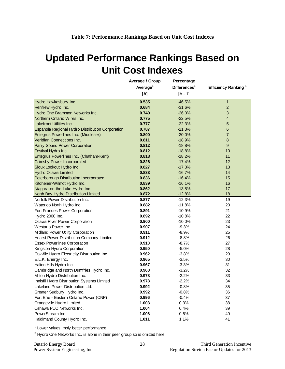## <span id="page-30-0"></span>**Updated Performance Rankings Based on Unit Cost Indexes**

|                                                  | Average / Group      | Percentage              |                                 |
|--------------------------------------------------|----------------------|-------------------------|---------------------------------|
|                                                  | Average <sup>1</sup> | Difference <sub>1</sub> | Efficiency Ranking <sup>1</sup> |
|                                                  | [A]                  | $[A - 1]$               |                                 |
| Hydro Hawkesbury Inc.                            | 0.535                | $-46.5%$                | $\mathbf{1}$                    |
| Renfrew Hydro Inc.                               | 0.684                | $-31.6%$                | $\overline{c}$                  |
| Hydro One Brampton Networks Inc.                 | 0.740                | $-26.0%$                | 3                               |
| Northern Ontario Wires Inc.                      | 0.775                | $-22.5%$                | 4                               |
| Lakefront Utilities Inc.                         | 0.777                | $-22.3%$                | 5                               |
| Espanola Regional Hydro Distribution Corporation | 0.787                | $-21.3%$                | 6                               |
| Entegrus Powerlines Inc. (Middlesex)             | 0.800                | $-20.0%$                | $\overline{7}$                  |
| Veridian Connections Inc.                        | 0.811                | $-18.9%$                | 8                               |
| Parry Sound Power Corporation                    | 0.812                | $-18.8%$                | $\boldsymbol{9}$                |
| Festival Hydro Inc.                              | 0.812                | $-18.8%$                | 10                              |
| Entegrus Powerlines Inc. (Chatham-Kent)          | 0.818                | $-18.2%$                | 11                              |
| <b>Grimsby Power Incorporated</b>                | 0.826                | $-17.4%$                | $12 \overline{ }$               |
| Sioux Lookout Hydro Inc.                         | 0.827                | $-17.3%$                | 13                              |
| <b>Hydro Ottawa Limited</b>                      | 0.833                | $-16.7%$                | 14                              |
| Peterborough Distribution Incorporated           | 0.836                | $-16.4%$                | 15                              |
| Kitchener-Wilmot Hydro Inc.                      | 0.839                | $-16.1%$                | 16                              |
| Niagara-on-the-Lake Hydro Inc.                   | 0.862                | $-13.8%$                | 17                              |
| North Bay Hydro Distribution Limited             | 0.872                | $-12.8%$                | 18                              |
| Norfolk Power Distribution Inc.                  | 0.877                | $-12.3%$                | 19                              |
| Waterloo North Hydro Inc.                        | 0.882                | $-11.8%$                | 20                              |
| Fort Frances Power Corporation                   | 0.891                | $-10.9%$                | 21                              |
| Hydro 2000 Inc.                                  | 0.892                | $-10.8%$                | 22                              |
| Ottawa River Power Corporation                   | 0.900                | $-10.0%$                | 23                              |
| Westario Power Inc.                              | 0.907                | $-9.3%$                 | 24                              |
| Midland Power Utility Corporation                | 0.911                | $-8.9%$                 | 25                              |
| Hearst Power Distribution Company Limited        | 0.912                | $-8.8%$                 | 26                              |
| <b>Essex Powerlines Corporation</b>              | 0.913                | $-8.7%$                 | 27                              |
| Kingston Hydro Corporation                       | 0.950                | $-5.0%$                 | 28                              |
| Oakville Hydro Electricity Distribution Inc.     | 0.962                | $-3.8%$                 | 29                              |
| E.L.K. Energy Inc.                               | 0.965                | $-3.5%$                 | 30                              |
| Halton Hills Hydro Inc.                          | 0.967                | $-3.3%$                 | 31                              |
| Cambridge and North Dumfries Hydro Inc.          | 0.968                | $-3.2%$                 | 32                              |
| Milton Hydro Distribution Inc.                   | 0.978                | $-2.2%$                 | 33                              |
| Innisfil Hydro Distribution Systems Limited      | 0.978                | $-2.2%$                 | 34                              |
| Lakeland Power Distribution Ltd.                 | 0.992                | $-0.8%$                 | 35                              |
| Greater Sudbury Hydro Inc.                       | 0.992                | $-0.8%$                 | 36                              |
| Fort Erie - Eastern Ontario Power (CNP)          | 0.996                | $-0.4%$                 | 37                              |
| Orangeville Hydro Limited                        | 1.003                | 0.3%                    | 38                              |
| Oshawa PUC Networks Inc.                         | 1.004                | 0.4%                    | 39                              |
| PowerStream Inc.                                 | 1.006                | 0.6%                    | 40                              |
| Haldimand County Hydro Inc.                      | 1.011                | 1.1%                    | 41                              |

<sup>1</sup> Lower values imply better performance

 $2$  Hydro One Networks Inc. is alone in their peer group so is omitted here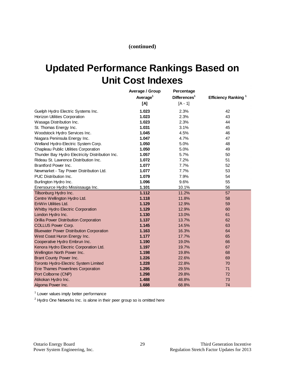**(continued)**

## **Updated Performance Rankings Based on Unit Cost Indexes**

|                                                 | Average / Group      | Percentage               |                                 |
|-------------------------------------------------|----------------------|--------------------------|---------------------------------|
|                                                 | Average <sup>1</sup> | Differences <sup>1</sup> | Efficiency Ranking <sup>1</sup> |
|                                                 | [A]                  | $[A - 1]$                |                                 |
| Guelph Hydro Electric Systems Inc.              | 1.023                | 2.3%                     | 42                              |
| Horizon Utilities Corporation                   | 1.023                | 2.3%                     | 43                              |
| Wasaga Distribution Inc.                        | 1.023                | 2.3%                     | 44                              |
| St. Thomas Energy Inc.                          | 1.031                | 3.1%                     | 45                              |
| Woodstock Hydro Services Inc.                   | 1.045                | 4.5%                     | 46                              |
| Niagara Peninsula Energy Inc.                   | 1.047                | 4.7%                     | 47                              |
| Welland Hydro-Electric System Corp.             | 1.050                | 5.0%                     | 48                              |
| Chapleau Public Utilities Corporation           | 1.050                | 5.0%                     | 49                              |
| Thunder Bay Hydro Electricity Distribution Inc. | 1.057                | 5.7%                     | 50                              |
| Rideau St. Lawrence Distribution Inc.           | 1.072                | 7.2%                     | 51                              |
| Brantford Power Inc.                            | 1.077                | 7.7%                     | 52                              |
| Newmarket - Tay Power Distribution Ltd.         | 1.077                | 7.7%                     | 53                              |
| PUC Distribution Inc.                           | 1.079                | 7.9%                     | 54                              |
| Burlington Hydro Inc.                           | 1.096                | 9.6%                     | 55                              |
| Enersource Hydro Mississauga Inc.               | 1.101                | 10.1%                    | 56                              |
| Tillsonburg Hydro Inc.                          | 1.112                | 11.2%                    | 57                              |
| Centre Wellington Hydro Ltd.                    | 1.118                | 11.8%                    | 58                              |
| EnWin Utilities Ltd.                            | 1.129                | 12.9%                    | 59                              |
| Whitby Hydro Electric Corporation               | 1.129                | 12.9%                    | 60                              |
| London Hydro Inc.                               | 1.130                | 13.0%                    | 61                              |
| Orillia Power Distribution Corporation          | 1.137                | 13.7%                    | 62                              |
| <b>COLLUS Power Corp.</b>                       | 1.145                | 14.5%                    | 63                              |
| <b>Bluewater Power Distribution Corporation</b> | 1.163                | 16.3%                    | 64                              |
| West Coast Huron Energy Inc.                    | 1.177                | 17.7%                    | 65                              |
| Cooperative Hydro Embrun Inc.                   | 1.190                | 19.0%                    | 66                              |
| Kenora Hydro Electric Corporation Ltd.          | 1.197                | 19.7%                    | 67                              |
| Wellington North Power Inc.                     | 1.198                | 19.8%                    | 68                              |
| Brant County Power Inc.                         | 1.226                | 22.6%                    | 69                              |
| Toronto Hydro-Electric System Limited           | 1.228                | 22.8%                    | 70                              |
| <b>Erie Thames Powerlines Corporation</b>       | 1.295                | 29.5%                    | 71                              |
| Port Colborne (CNP)                             | 1.298                | 29.8%                    | 72                              |
| Atikokan Hydro Inc.                             | 1.488                | 48.8%                    | 73                              |
| Algoma Power Inc.                               | 1.688                | 68.8%                    | 74                              |

<sup>1</sup> Lower values imply better performance

 $2$  Hydro One Networks Inc. is alone in their peer group so is omitted here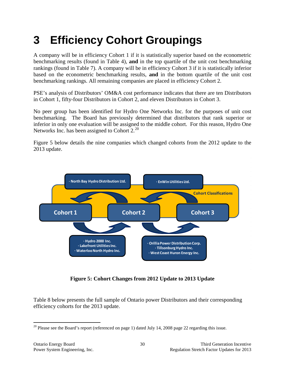# <span id="page-32-0"></span>**3 Efficiency Cohort Groupings**

A company will be in efficiency Cohort 1 if it is statistically superior based on the econometric benchmarking results (found in Table 4), **and** in the top quartile of the unit cost benchmarking rankings (found in Table 7). A company will be in efficiency Cohort 3 if it is statistically inferior based on the econometric benchmarking results, **and** in the bottom quartile of the unit cost benchmarking rankings. All remaining companies are placed in efficiency Cohort 2.

PSE's analysis of Distributors' OM&A cost performance indicates that there are ten Distributors in Cohort 1, fifty-four Distributors in Cohort 2, and eleven Distributors in Cohort 3.

No peer group has been identified for Hydro One Networks Inc. for the purposes of unit cost benchmarking. The Board has previously determined that distributors that rank superior or inferior in only one evaluation will be assigned to the middle cohort. For this reason, Hydro One Networks Inc. has been assigned to Cohort 2.<sup>[20](#page-32-2)</sup>

Figure 5 below details the nine companies which changed cohorts from the 2012 update to the 2013 update.



**Figure 5: Cohort Changes from 2012 Update to 2013 Update**

<span id="page-32-1"></span>Table 8 below presents the full sample of Ontario power Distributors and their corresponding efficiency cohorts for the 2013 update.

<span id="page-32-2"></span> $20$  Please see the Board's report (referenced on page 1) dated July 14, 2008 page 22 regarding this issue.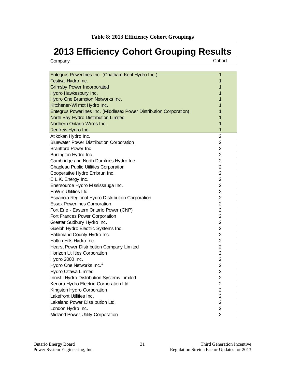## <span id="page-33-0"></span>**2013 Efficiency Cohort Grouping Results**

| Company |  |
|---------|--|
|         |  |

| Entegrus Powerlines Inc. (Chatham-Kent Hydro Inc.)                  | 1              |
|---------------------------------------------------------------------|----------------|
| Festival Hydro Inc.                                                 | 1              |
| <b>Grimsby Power Incorporated</b>                                   | 1              |
| Hydro Hawkesbury Inc.                                               | 1              |
| Hydro One Brampton Networks Inc.                                    | 1              |
| Kitchener-Wilmot Hydro Inc.                                         | 1              |
| Entegrus Powerlines Inc. (Middlesex Power Distribution Corporation) | 1              |
| North Bay Hydro Distribution Limited                                | 1              |
| Northern Ontario Wires Inc.                                         | 1              |
| Renfrew Hydro Inc.                                                  | $\mathbf{1}$   |
| Atikokan Hydro Inc.                                                 | 2              |
| <b>Bluewater Power Distribution Corporation</b>                     | 2              |
| Brantford Power Inc.                                                | 2              |
| Burlington Hydro Inc.                                               | 2              |
| Cambridge and North Dumfries Hydro Inc.                             | 2              |
| Chapleau Public Utilities Corporation                               | 2              |
| Cooperative Hydro Embrun Inc.                                       | 2              |
| E.L.K. Energy Inc.                                                  | 2              |
| Enersource Hydro Mississauga Inc.                                   | 2              |
| EnWin Utilities Ltd.                                                | 2              |
| Espanola Regional Hydro Distribution Corporation                    | 2              |
| <b>Essex Powerlines Corporation</b>                                 | 2              |
| Fort Erie - Eastern Ontario Power (CNP)                             | $\overline{2}$ |
| Fort Frances Power Corporation                                      | 2              |
| Greater Sudbury Hydro Inc.                                          | 2              |
| Guelph Hydro Electric Systems Inc.                                  | 2              |
| Haldimand County Hydro Inc.                                         | $\overline{2}$ |
| Halton Hills Hydro Inc.                                             | $\overline{2}$ |
| Hearst Power Distribution Company Limited                           | 2              |
| Horizon Utilities Corporation                                       | 2              |
| Hydro 2000 Inc.                                                     | 2              |
| Hydro One Networks Inc. <sup>1</sup>                                | 2              |
| Hydro Ottawa Limited                                                | $\overline{2}$ |
| Innisfil Hydro Distribution Systems Limited                         | 2              |
| Kenora Hydro Electric Corporation Ltd.                              | 2              |
| Kingston Hydro Corporation                                          | 2              |
| Lakefront Utilities Inc.                                            | $\overline{2}$ |
| Lakeland Power Distribution Ltd.                                    | 2              |
| London Hydro Inc.                                                   | $\overline{2}$ |
| Midland Power Utility Corporation                                   | $\overline{2}$ |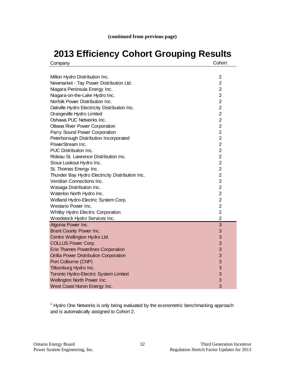## **2013 Efficiency Cohort Grouping Results**

| Company                                         | Cohort         |
|-------------------------------------------------|----------------|
|                                                 |                |
| Milton Hydro Distribution Inc.                  | $\overline{2}$ |
| Newmarket - Tay Power Distribution Ltd.         | 2              |
| Niagara Peninsula Energy Inc.                   | 2              |
| Niagara-on-the-Lake Hydro Inc.                  | 2              |
| Norfolk Power Distribution Inc.                 | 2              |
| Oakville Hydro Electricity Distribution Inc.    | 2              |
| Orangeville Hydro Limited                       | 2              |
| Oshawa PUC Networks Inc.                        | 2              |
| <b>Ottawa River Power Corporation</b>           | $\overline{2}$ |
| Parry Sound Power Corporation                   | $\overline{2}$ |
| Peterborough Distribution Incorporated          | $\overline{2}$ |
| PowerStream Inc.                                | $\overline{2}$ |
| PUC Distribution Inc.                           | $\overline{2}$ |
| Rideau St. Lawrence Distribution Inc.           | $\overline{2}$ |
| Sioux Lookout Hydro Inc.                        | $\overline{2}$ |
| St. Thomas Energy Inc.                          | $\overline{2}$ |
| Thunder Bay Hydro Electricity Distribution Inc. | $\overline{2}$ |
| Veridian Connections Inc.                       | $\overline{2}$ |
| Wasaga Distribution Inc.                        | $\overline{2}$ |
| Waterloo North Hydro Inc.                       | $\overline{2}$ |
| Welland Hydro-Electric System Corp.             | $\overline{2}$ |
| Westario Power Inc.                             | $\overline{2}$ |
| Whitby Hydro Electric Corporation               | $\overline{2}$ |
| Woodstock Hydro Services Inc.                   | $\overline{2}$ |
| Algoma Power Inc.                               | 3              |
| Brant County Power Inc.                         | 3              |
| Centre Wellington Hydro Ltd.                    | 3              |
| <b>COLLUS Power Corp.</b>                       | 3              |
| <b>Erie Thames Powerlines Corporation</b>       | 3              |
| Orillia Power Distribution Corporation          | 3              |
| Port Colborne (CNP)                             | 3              |
| Tillsonburg Hydro Inc.                          | 3              |
| Toronto Hydro-Electric System Limited           | 3              |
| Wellington North Power Inc.                     | 3              |
| West Coast Huron Energy Inc.                    | 3              |

<sup>1</sup> Hydro One Networks is only being evaluated by the econometric benchmarking approach and is automatically assigned to Cohort 2.